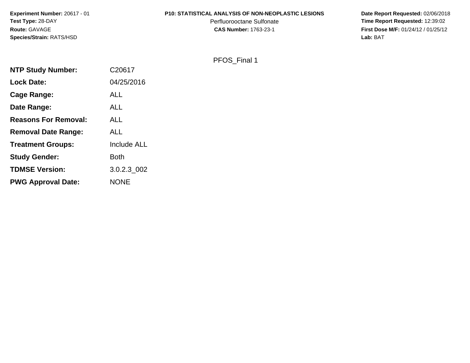**Experiment Number:** 20617 - 01**Test Type:** 28-DAY**Route:** GAVAGE**Species/Strain:** RATS/HSD

#### **P10: STATISTICAL ANALYSIS OF NON-NEOPLASTIC LESIONS**

Perfluorooctane Sulfonate<br>CAS Number: 1763-23-1

 **Date Report Requested:** 02/06/2018 **Time Report Requested:** 12:39:02 **First Dose M/F:** 01/24/12 / 01/25/12<br>Lab: BAT **Lab:** BAT

#### PFOS\_Final 1

| <b>NTP Study Number:</b>    | C20617             |
|-----------------------------|--------------------|
| <b>Lock Date:</b>           | 04/25/2016         |
| <b>Cage Range:</b>          | ALL                |
| Date Range:                 | <b>ALL</b>         |
| <b>Reasons For Removal:</b> | ALL                |
| <b>Removal Date Range:</b>  | <b>ALL</b>         |
| <b>Treatment Groups:</b>    | <b>Include ALL</b> |
| <b>Study Gender:</b>        | <b>Both</b>        |
| <b>TDMSE Version:</b>       | 3.0.2.3 002        |
| <b>PWG Approval Date:</b>   | <b>NONE</b>        |
|                             |                    |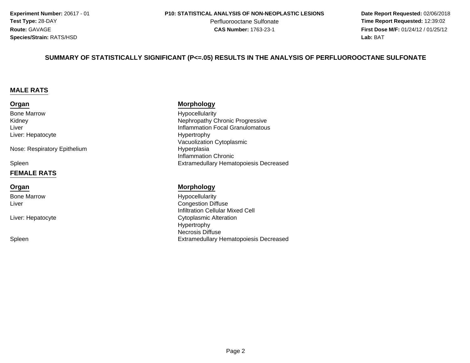**Experiment Number:** 20617 - 01**Test Type:** 28-DAY**Route:** GAVAGE**Species/Strain:** RATS/HSD

Perfluorooctane Sulfonate<br>CAS Number: 1763-23-1

 **Date Report Requested:** 02/06/2018 **Time Report Requested:** 12:39:02 **First Dose M/F:** 01/24/12 / 01/25/12<br>**Lab:** BAT **Lab:** BAT

#### **SUMMARY OF STATISTICALLY SIGNIFICANT (P<=.05) RESULTS IN THE ANALYSIS OF PERFLUOROOCTANE SULFONATE**

#### **MALE RATS**

#### **Organ**

Bone MarrowKidneyLiverLiver: Hepatocyte

Nose: Respiratory Epithelium

Spleen

#### **FEMALE RATS**

#### **Organ**

Bone MarrowLiver

Liver: Hepatocyte

Spleen

#### **Morphology**

 Hypocellularity Nephropathy Chronic Progressive Inflammation Focal Granulomatous Hypertrophy Vacuolization Cytoplasmic Hyperplasia Inflammation ChronicExtramedullary Hematopoiesis Decreased

#### **Morphology**

 Hypocellularity Congestion Diffuse Infiltration Cellular Mixed Cell Cytoplasmic Alteration Hypertrophy Necrosis DiffuseExtramedullary Hematopoiesis Decreased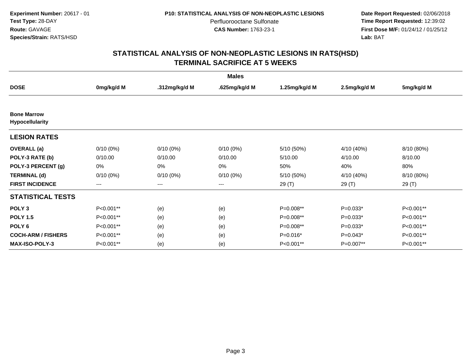**Date Report Requested:** 02/06/2018 **Time Report Requested:** 12:39:02 **First Dose M/F:** 01/24/12 / 01/25/12<br>**Lab:** BAT **Lab:** BAT

|                                              |             |                        | <b>Males</b>  |               |              |            |
|----------------------------------------------|-------------|------------------------|---------------|---------------|--------------|------------|
| <b>DOSE</b>                                  | 0mg/kg/d M  | .312mg/kg/d M          | .625mg/kg/d M | 1.25mg/kg/d M | 2.5mg/kg/d M | 5mg/kg/d M |
|                                              |             |                        |               |               |              |            |
| <b>Bone Marrow</b><br><b>Hypocellularity</b> |             |                        |               |               |              |            |
| <b>LESION RATES</b>                          |             |                        |               |               |              |            |
| <b>OVERALL</b> (a)                           | $0/10(0\%)$ | $0/10(0\%)$            | $0/10(0\%)$   | 5/10 (50%)    | 4/10 (40%)   | 8/10 (80%) |
| POLY-3 RATE (b)                              | 0/10.00     | 0/10.00                | 0/10.00       | 5/10.00       | 4/10.00      | 8/10.00    |
| POLY-3 PERCENT (g)                           | 0%          | 0%                     | 0%            | 50%           | 40%          | 80%        |
| <b>TERMINAL (d)</b>                          | $0/10(0\%)$ | $0/10(0\%)$            | $0/10(0\%)$   | 5/10 (50%)    | 4/10 (40%)   | 8/10 (80%) |
| <b>FIRST INCIDENCE</b>                       | $---$       | $\qquad \qquad \cdots$ | ---           | 29(T)         | 29 (T)       | 29 (T)     |
| <b>STATISTICAL TESTS</b>                     |             |                        |               |               |              |            |
| POLY <sub>3</sub>                            | P<0.001**   | (e)                    | (e)           | P=0.008**     | $P=0.033*$   | P<0.001**  |
| <b>POLY 1.5</b>                              | P<0.001**   | (e)                    | (e)           | P=0.008**     | $P=0.033*$   | P<0.001**  |
| POLY <sub>6</sub>                            | P<0.001**   | (e)                    | (e)           | P=0.008**     | $P=0.033*$   | P<0.001**  |
| <b>COCH-ARM / FISHERS</b>                    | P<0.001**   | (e)                    | (e)           | $P=0.016*$    | $P=0.043*$   | P<0.001**  |
| <b>MAX-ISO-POLY-3</b>                        | P<0.001**   | (e)                    | (e)           | P<0.001**     | P=0.007**    | P<0.001**  |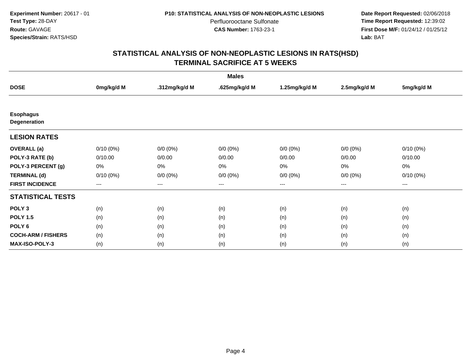**Date Report Requested:** 02/06/2018 **Time Report Requested:** 12:39:02 **First Dose M/F:** 01/24/12 / 01/25/12<br>**Lab:** BAT **Lab:** BAT

|                                         |             |               | <b>Males</b>  |               |              |             |
|-----------------------------------------|-------------|---------------|---------------|---------------|--------------|-------------|
| <b>DOSE</b>                             | 0mg/kg/d M  | .312mg/kg/d M | .625mg/kg/d M | 1.25mg/kg/d M | 2.5mg/kg/d M | 5mg/kg/d M  |
|                                         |             |               |               |               |              |             |
| <b>Esophagus</b><br><b>Degeneration</b> |             |               |               |               |              |             |
| <b>LESION RATES</b>                     |             |               |               |               |              |             |
| <b>OVERALL</b> (a)                      | $0/10(0\%)$ | $0/0 (0\%)$   | $0/0 (0\%)$   | $0/0 (0\%)$   | $0/0 (0\%)$  | $0/10(0\%)$ |
| POLY-3 RATE (b)                         | 0/10.00     | 0/0.00        | 0/0.00        | 0/0.00        | 0/0.00       | 0/10.00     |
| POLY-3 PERCENT (g)                      | 0%          | 0%            | 0%            | 0%            | 0%           | 0%          |
| <b>TERMINAL (d)</b>                     | $0/10(0\%)$ | $0/0 (0\%)$   | $0/0 (0\%)$   | $0/0 (0\%)$   | $0/0 (0\%)$  | $0/10(0\%)$ |
| <b>FIRST INCIDENCE</b>                  | $--$        | $--$          | $---$         | $--$          | ---          | ---         |
| <b>STATISTICAL TESTS</b>                |             |               |               |               |              |             |
| POLY <sub>3</sub>                       | (n)         | (n)           | (n)           | (n)           | (n)          | (n)         |
| <b>POLY 1.5</b>                         | (n)         | (n)           | (n)           | (n)           | (n)          | (n)         |
| POLY 6                                  | (n)         | (n)           | (n)           | (n)           | (n)          | (n)         |
| <b>COCH-ARM / FISHERS</b>               | (n)         | (n)           | (n)           | (n)           | (n)          | (n)         |
| MAX-ISO-POLY-3                          | (n)         | (n)           | (n)           | (n)           | (n)          | (n)         |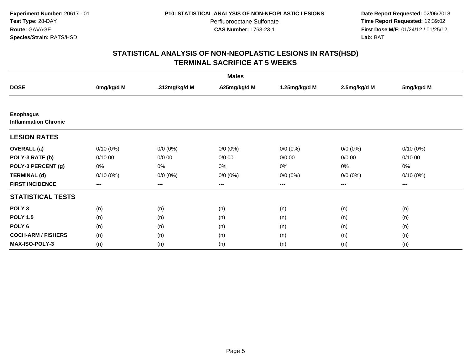**Date Report Requested:** 02/06/2018 **Time Report Requested:** 12:39:02 **First Dose M/F:** 01/24/12 / 01/25/12<br>**Lab:** BAT **Lab:** BAT

|                                                 |             |               | <b>Males</b>  |                        |              |             |
|-------------------------------------------------|-------------|---------------|---------------|------------------------|--------------|-------------|
| <b>DOSE</b>                                     | 0mg/kg/d M  | .312mg/kg/d M | .625mg/kg/d M | 1.25mg/kg/d M          | 2.5mg/kg/d M | 5mg/kg/d M  |
|                                                 |             |               |               |                        |              |             |
| <b>Esophagus</b><br><b>Inflammation Chronic</b> |             |               |               |                        |              |             |
| <b>LESION RATES</b>                             |             |               |               |                        |              |             |
| <b>OVERALL</b> (a)                              | $0/10(0\%)$ | $0/0 (0\%)$   | $0/0 (0\%)$   | $0/0 (0\%)$            | $0/0 (0\%)$  | $0/10(0\%)$ |
| POLY-3 RATE (b)                                 | 0/10.00     | 0/0.00        | 0/0.00        | 0/0.00                 | 0/0.00       | 0/10.00     |
| POLY-3 PERCENT (g)                              | 0%          | 0%            | $0\%$         | 0%                     | 0%           | 0%          |
| <b>TERMINAL (d)</b>                             | $0/10(0\%)$ | $0/0 (0\%)$   | $0/0 (0\%)$   | $0/0 (0\%)$            | $0/0 (0\%)$  | $0/10(0\%)$ |
| <b>FIRST INCIDENCE</b>                          | $---$       | $---$         | ---           | $\qquad \qquad \cdots$ | ---          | ---         |
| <b>STATISTICAL TESTS</b>                        |             |               |               |                        |              |             |
| POLY <sub>3</sub>                               | (n)         | (n)           | (n)           | (n)                    | (n)          | (n)         |
| <b>POLY 1.5</b>                                 | (n)         | (n)           | (n)           | (n)                    | (n)          | (n)         |
| POLY <sub>6</sub>                               | (n)         | (n)           | (n)           | (n)                    | (n)          | (n)         |
| <b>COCH-ARM / FISHERS</b>                       | (n)         | (n)           | (n)           | (n)                    | (n)          | (n)         |
| MAX-ISO-POLY-3                                  | (n)         | (n)           | (n)           | (n)                    | (n)          | (n)         |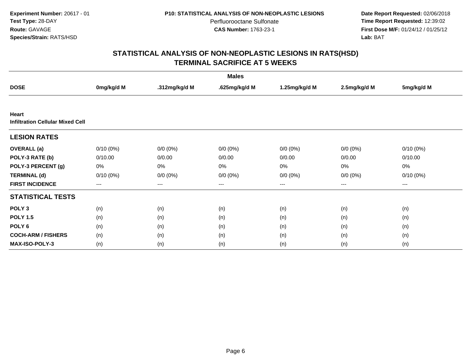**Date Report Requested:** 02/06/2018 **Time Report Requested:** 12:39:02 **First Dose M/F:** 01/24/12 / 01/25/12<br>**Lab:** BAT **Lab:** BAT

|                                                  |             |               | <b>Males</b>  |               |              |             |
|--------------------------------------------------|-------------|---------------|---------------|---------------|--------------|-------------|
| <b>DOSE</b>                                      | 0mg/kg/d M  | .312mg/kg/d M | .625mg/kg/d M | 1.25mg/kg/d M | 2.5mg/kg/d M | 5mg/kg/d M  |
|                                                  |             |               |               |               |              |             |
| Heart<br><b>Infiltration Cellular Mixed Cell</b> |             |               |               |               |              |             |
| <b>LESION RATES</b>                              |             |               |               |               |              |             |
| <b>OVERALL</b> (a)                               | $0/10(0\%)$ | $0/0 (0\%)$   | $0/0 (0\%)$   | $0/0 (0\%)$   | $0/0 (0\%)$  | $0/10(0\%)$ |
| POLY-3 RATE (b)                                  | 0/10.00     | 0/0.00        | 0/0.00        | 0/0.00        | 0/0.00       | 0/10.00     |
| POLY-3 PERCENT (g)                               | 0%          | 0%            | 0%            | 0%            | $0\%$        | 0%          |
| <b>TERMINAL (d)</b>                              | $0/10(0\%)$ | $0/0 (0\%)$   | $0/0 (0\%)$   | $0/0 (0\%)$   | $0/0 (0\%)$  | $0/10(0\%)$ |
| <b>FIRST INCIDENCE</b>                           | $---$       | $---$         | $---$         | $---$         | $---$        | ---         |
| <b>STATISTICAL TESTS</b>                         |             |               |               |               |              |             |
| POLY <sub>3</sub>                                | (n)         | (n)           | (n)           | (n)           | (n)          | (n)         |
| <b>POLY 1.5</b>                                  | (n)         | (n)           | (n)           | (n)           | (n)          | (n)         |
| POLY <sub>6</sub>                                | (n)         | (n)           | (n)           | (n)           | (n)          | (n)         |
| <b>COCH-ARM / FISHERS</b>                        | (n)         | (n)           | (n)           | (n)           | (n)          | (n)         |
| <b>MAX-ISO-POLY-3</b>                            | (n)         | (n)           | (n)           | (n)           | (n)          | (n)         |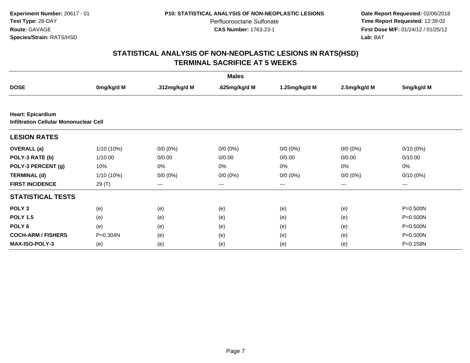**Date Report Requested:** 02/06/2018 **Time Report Requested:** 12:39:02 **First Dose M/F:** 01/24/12 / 01/25/12<br>**Lab:** BAT **Lab:** BAT

|                                                                           |              |               | <b>Males</b>      |                   |                   |              |
|---------------------------------------------------------------------------|--------------|---------------|-------------------|-------------------|-------------------|--------------|
| <b>DOSE</b>                                                               | 0mg/kg/d M   | .312mg/kg/d M | .625mg/kg/d M     | 1.25mg/kg/d M     | 2.5mg/kg/d M      | 5mg/kg/d M   |
|                                                                           |              |               |                   |                   |                   |              |
| <b>Heart: Epicardium</b><br><b>Infiltration Cellular Mononuclear Cell</b> |              |               |                   |                   |                   |              |
| <b>LESION RATES</b>                                                       |              |               |                   |                   |                   |              |
| <b>OVERALL</b> (a)                                                        | $1/10(10\%)$ | $0/0 (0\%)$   | $0/0 (0\%)$       | $0/0 (0\%)$       | $0/0 (0\%)$       | $0/10(0\%)$  |
| POLY-3 RATE (b)                                                           | 1/10.00      | 0/0.00        | 0/0.00            | 0/0.00            | 0/0.00            | 0/10.00      |
| POLY-3 PERCENT (g)                                                        | 10%          | 0%            | 0%                | 0%                | 0%                | 0%           |
| <b>TERMINAL (d)</b>                                                       | 1/10 (10%)   | $0/0 (0\%)$   | $0/0 (0\%)$       | $0/0 (0\%)$       | $0/0 (0\%)$       | $0/10(0\%)$  |
| <b>FIRST INCIDENCE</b>                                                    | 29 (T)       | $---$         | $\qquad \qquad -$ | $\qquad \qquad -$ | $\qquad \qquad -$ | ---          |
| <b>STATISTICAL TESTS</b>                                                  |              |               |                   |                   |                   |              |
| POLY <sub>3</sub>                                                         | (e)          | (e)           | (e)               | (e)               | (e)               | P=0.500N     |
| <b>POLY 1.5</b>                                                           | (e)          | (e)           | (e)               | (e)               | (e)               | $P = 0.500N$ |
| POLY <sub>6</sub>                                                         | (e)          | (e)           | (e)               | (e)               | (e)               | $P = 0.500N$ |
| <b>COCH-ARM / FISHERS</b>                                                 | $P = 0.304N$ | (e)           | (e)               | (e)               | (e)               | $P = 0.500N$ |
| <b>MAX-ISO-POLY-3</b>                                                     | (e)          | (e)           | (e)               | (e)               | (e)               | P=0.158N     |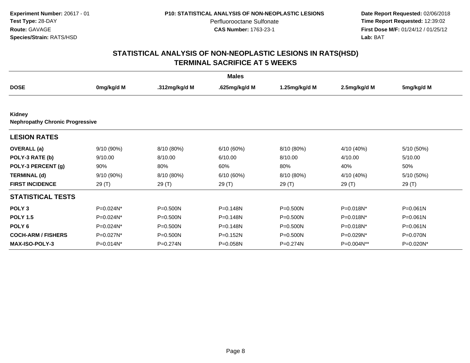**Date Report Requested:** 02/06/2018 **Time Report Requested:** 12:39:02 **First Dose M/F:** 01/24/12 / 01/25/12<br>**Lab:** BAT **Lab:** BAT

|                                                  |            |               | <b>Males</b>  |               |              |              |
|--------------------------------------------------|------------|---------------|---------------|---------------|--------------|--------------|
| <b>DOSE</b>                                      | 0mg/kg/d M | .312mg/kg/d M | .625mg/kg/d M | 1.25mg/kg/d M | 2.5mg/kg/d M | 5mg/kg/d M   |
|                                                  |            |               |               |               |              |              |
| Kidney<br><b>Nephropathy Chronic Progressive</b> |            |               |               |               |              |              |
| <b>LESION RATES</b>                              |            |               |               |               |              |              |
| <b>OVERALL</b> (a)                               | 9/10 (90%) | 8/10 (80%)    | 6/10(60%)     | 8/10 (80%)    | 4/10 (40%)   | 5/10 (50%)   |
| POLY-3 RATE (b)                                  | 9/10.00    | 8/10.00       | 6/10.00       | 8/10.00       | 4/10.00      | 5/10.00      |
| POLY-3 PERCENT (g)                               | 90%        | 80%           | 60%           | 80%           | 40%          | 50%          |
| <b>TERMINAL (d)</b>                              | 9/10 (90%) | 8/10 (80%)    | 6/10(60%)     | 8/10 (80%)    | 4/10 (40%)   | 5/10 (50%)   |
| <b>FIRST INCIDENCE</b>                           | 29 (T)     | 29(T)         | 29 (T)        | 29(T)         | 29 (T)       | 29(T)        |
| <b>STATISTICAL TESTS</b>                         |            |               |               |               |              |              |
| POLY <sub>3</sub>                                | P=0.024N*  | $P = 0.500N$  | $P = 0.148N$  | $P = 0.500N$  | P=0.018N*    | $P = 0.061N$ |
| <b>POLY 1.5</b>                                  | P=0.024N*  | $P = 0.500N$  | P=0.148N      | P=0.500N      | P=0.018N*    | P=0.061N     |
| POLY <sub>6</sub>                                | P=0.024N*  | $P = 0.500N$  | P=0.148N      | $P = 0.500N$  | P=0.018N*    | $P = 0.061N$ |
| <b>COCH-ARM / FISHERS</b>                        | P=0.027N*  | $P = 0.500N$  | $P = 0.152N$  | P=0.500N      | P=0.029N*    | P=0.070N     |
| <b>MAX-ISO-POLY-3</b>                            | P=0.014N*  | $P = 0.274N$  | P=0.058N      | P=0.274N      | $P=0.004N**$ | P=0.020N*    |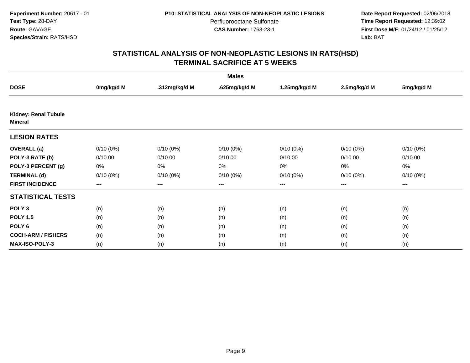**Date Report Requested:** 02/06/2018 **Time Report Requested:** 12:39:02 **First Dose M/F:** 01/24/12 / 01/25/12<br>**Lab:** BAT **Lab:** BAT

|                                               |             |               | <b>Males</b>  |               |              |             |
|-----------------------------------------------|-------------|---------------|---------------|---------------|--------------|-------------|
| <b>DOSE</b>                                   | 0mg/kg/d M  | .312mg/kg/d M | .625mg/kg/d M | 1.25mg/kg/d M | 2.5mg/kg/d M | 5mg/kg/d M  |
|                                               |             |               |               |               |              |             |
| <b>Kidney: Renal Tubule</b><br><b>Mineral</b> |             |               |               |               |              |             |
| <b>LESION RATES</b>                           |             |               |               |               |              |             |
| <b>OVERALL</b> (a)                            | $0/10(0\%)$ | $0/10(0\%)$   | $0/10(0\%)$   | $0/10(0\%)$   | $0/10(0\%)$  | $0/10(0\%)$ |
| POLY-3 RATE (b)                               | 0/10.00     | 0/10.00       | 0/10.00       | 0/10.00       | 0/10.00      | 0/10.00     |
| POLY-3 PERCENT (g)                            | 0%          | 0%            | 0%            | 0%            | 0%           | 0%          |
| <b>TERMINAL (d)</b>                           | $0/10(0\%)$ | $0/10(0\%)$   | $0/10(0\%)$   | $0/10(0\%)$   | $0/10(0\%)$  | $0/10(0\%)$ |
| <b>FIRST INCIDENCE</b>                        | $---$       | $---$         | ---           | $---$         | $---$        | ---         |
| <b>STATISTICAL TESTS</b>                      |             |               |               |               |              |             |
| POLY <sub>3</sub>                             | (n)         | (n)           | (n)           | (n)           | (n)          | (n)         |
| <b>POLY 1.5</b>                               | (n)         | (n)           | (n)           | (n)           | (n)          | (n)         |
| POLY <sub>6</sub>                             | (n)         | (n)           | (n)           | (n)           | (n)          | (n)         |
| <b>COCH-ARM / FISHERS</b>                     | (n)         | (n)           | (n)           | (n)           | (n)          | (n)         |
| <b>MAX-ISO-POLY-3</b>                         | (n)         | (n)           | (n)           | (n)           | (n)          | (n)         |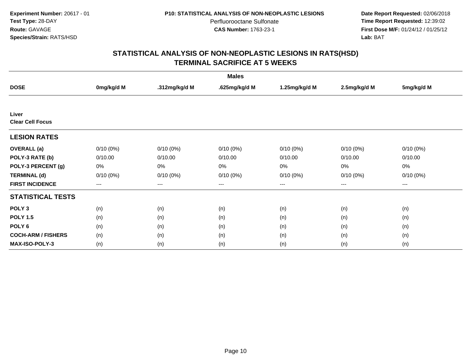**Date Report Requested:** 02/06/2018 **Time Report Requested:** 12:39:02 **First Dose M/F:** 01/24/12 / 01/25/12<br>**Lab:** BAT **Lab:** BAT

|                           |             |               | <b>Males</b>  |               |              |             |
|---------------------------|-------------|---------------|---------------|---------------|--------------|-------------|
| <b>DOSE</b>               | 0mg/kg/d M  | .312mg/kg/d M | .625mg/kg/d M | 1.25mg/kg/d M | 2.5mg/kg/d M | 5mg/kg/d M  |
|                           |             |               |               |               |              |             |
| Liver                     |             |               |               |               |              |             |
| <b>Clear Cell Focus</b>   |             |               |               |               |              |             |
| <b>LESION RATES</b>       |             |               |               |               |              |             |
| <b>OVERALL</b> (a)        | $0/10(0\%)$ | $0/10(0\%)$   | $0/10(0\%)$   | $0/10(0\%)$   | $0/10(0\%)$  | $0/10(0\%)$ |
| POLY-3 RATE (b)           | 0/10.00     | 0/10.00       | 0/10.00       | 0/10.00       | 0/10.00      | 0/10.00     |
| POLY-3 PERCENT (g)        | 0%          | 0%            | 0%            | 0%            | 0%           | 0%          |
| <b>TERMINAL (d)</b>       | $0/10(0\%)$ | $0/10(0\%)$   | $0/10(0\%)$   | $0/10(0\%)$   | $0/10(0\%)$  | $0/10(0\%)$ |
| <b>FIRST INCIDENCE</b>    | $---$       | $---$         | $---$         | $---$         | $---$        | ---         |
| <b>STATISTICAL TESTS</b>  |             |               |               |               |              |             |
| POLY <sub>3</sub>         | (n)         | (n)           | (n)           | (n)           | (n)          | (n)         |
| <b>POLY 1.5</b>           | (n)         | (n)           | (n)           | (n)           | (n)          | (n)         |
| POLY <sub>6</sub>         | (n)         | (n)           | (n)           | (n)           | (n)          | (n)         |
| <b>COCH-ARM / FISHERS</b> | (n)         | (n)           | (n)           | (n)           | (n)          | (n)         |
| <b>MAX-ISO-POLY-3</b>     | (n)         | (n)           | (n)           | (n)           | (n)          | (n)         |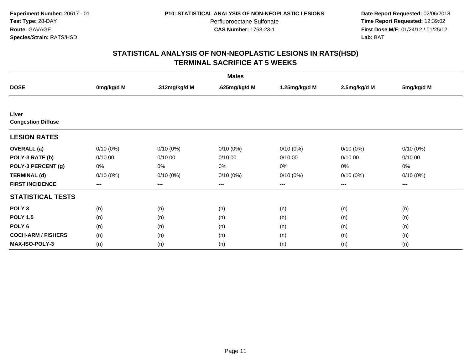**Date Report Requested:** 02/06/2018 **Time Report Requested:** 12:39:02 **First Dose M/F:** 01/24/12 / 01/25/12<br>**Lab:** BAT **Lab:** BAT

|                           |                   |               | <b>Males</b>  |               |                   |             |
|---------------------------|-------------------|---------------|---------------|---------------|-------------------|-------------|
| <b>DOSE</b>               | 0mg/kg/d M        | .312mg/kg/d M | .625mg/kg/d M | 1.25mg/kg/d M | 2.5mg/kg/d M      | 5mg/kg/d M  |
|                           |                   |               |               |               |                   |             |
| Liver                     |                   |               |               |               |                   |             |
| <b>Congestion Diffuse</b> |                   |               |               |               |                   |             |
| <b>LESION RATES</b>       |                   |               |               |               |                   |             |
| <b>OVERALL</b> (a)        | $0/10(0\%)$       | $0/10(0\%)$   | $0/10(0\%)$   | $0/10(0\%)$   | $0/10(0\%)$       | $0/10(0\%)$ |
| POLY-3 RATE (b)           | 0/10.00           | 0/10.00       | 0/10.00       | 0/10.00       | 0/10.00           | 0/10.00     |
| POLY-3 PERCENT (g)        | 0%                | $0\%$         | $0\%$         | 0%            | 0%                | 0%          |
| <b>TERMINAL (d)</b>       | $0/10(0\%)$       | $0/10(0\%)$   | $0/10(0\%)$   | $0/10(0\%)$   | $0/10(0\%)$       | $0/10(0\%)$ |
| <b>FIRST INCIDENCE</b>    | $\qquad \qquad -$ | $---$         | $---$         | ---           | $\qquad \qquad -$ | $---$       |
| <b>STATISTICAL TESTS</b>  |                   |               |               |               |                   |             |
| POLY <sub>3</sub>         | (n)               | (n)           | (n)           | (n)           | (n)               | (n)         |
| <b>POLY 1.5</b>           | (n)               | (n)           | (n)           | (n)           | (n)               | (n)         |
| POLY <sub>6</sub>         | (n)               | (n)           | (n)           | (n)           | (n)               | (n)         |
| <b>COCH-ARM / FISHERS</b> | (n)               | (n)           | (n)           | (n)           | (n)               | (n)         |
| <b>MAX-ISO-POLY-3</b>     | (n)               | (n)           | (n)           | (n)           | (n)               | (n)         |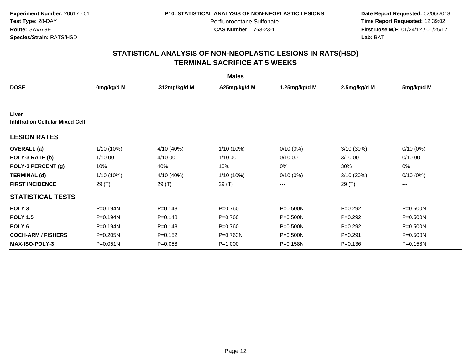**Date Report Requested:** 02/06/2018 **Time Report Requested:** 12:39:02 **First Dose M/F:** 01/24/12 / 01/25/12<br>**Lab:** BAT **Lab:** BAT

|                                                  |              |               | <b>Males</b>  |               |              |              |
|--------------------------------------------------|--------------|---------------|---------------|---------------|--------------|--------------|
| <b>DOSE</b>                                      | 0mg/kg/d M   | .312mg/kg/d M | .625mg/kg/d M | 1.25mg/kg/d M | 2.5mg/kg/d M | 5mg/kg/d M   |
|                                                  |              |               |               |               |              |              |
| Liver<br><b>Infiltration Cellular Mixed Cell</b> |              |               |               |               |              |              |
| <b>LESION RATES</b>                              |              |               |               |               |              |              |
| <b>OVERALL</b> (a)                               | 1/10 (10%)   | 4/10 (40%)    | 1/10 (10%)    | $0/10(0\%)$   | $3/10(30\%)$ | $0/10(0\%)$  |
| POLY-3 RATE (b)                                  | 1/10.00      | 4/10.00       | 1/10.00       | 0/10.00       | 3/10.00      | 0/10.00      |
| POLY-3 PERCENT (g)                               | 10%          | 40%           | 10%           | 0%            | 30%          | 0%           |
| <b>TERMINAL (d)</b>                              | 1/10 (10%)   | 4/10 (40%)    | 1/10 (10%)    | $0/10(0\%)$   | 3/10 (30%)   | $0/10(0\%)$  |
| <b>FIRST INCIDENCE</b>                           | 29 (T)       | 29 (T)        | 29 (T)        | ---           | 29 (T)       | ---          |
| <b>STATISTICAL TESTS</b>                         |              |               |               |               |              |              |
| POLY <sub>3</sub>                                | P=0.194N     | $P = 0.148$   | $P = 0.760$   | P=0.500N      | $P=0.292$    | P=0.500N     |
| <b>POLY 1.5</b>                                  | $P = 0.194N$ | $P=0.148$     | $P = 0.760$   | P=0.500N      | $P=0.292$    | P=0.500N     |
| POLY <sub>6</sub>                                | P=0.194N     | $P = 0.148$   | $P=0.760$     | $P = 0.500N$  | $P=0.292$    | P=0.500N     |
| <b>COCH-ARM / FISHERS</b>                        | P=0.205N     | $P = 0.152$   | P=0.763N      | $P = 0.500N$  | $P = 0.291$  | $P = 0.500N$ |
| MAX-ISO-POLY-3                                   | $P = 0.051N$ | $P=0.058$     | $P = 1.000$   | $P = 0.158N$  | $P = 0.136$  | $P = 0.158N$ |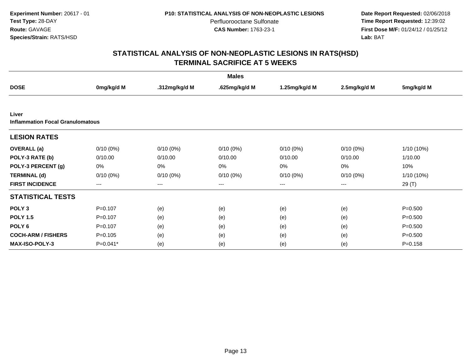**Date Report Requested:** 02/06/2018 **Time Report Requested:** 12:39:02 **First Dose M/F:** 01/24/12 / 01/25/12<br>**Lab:** BAT **Lab:** BAT

|                                         |             |                   | <b>Males</b>  |                   |              |             |
|-----------------------------------------|-------------|-------------------|---------------|-------------------|--------------|-------------|
| <b>DOSE</b>                             | 0mg/kg/d M  | .312mg/kg/d M     | .625mg/kg/d M | 1.25mg/kg/d M     | 2.5mg/kg/d M | 5mg/kg/d M  |
|                                         |             |                   |               |                   |              |             |
| Liver                                   |             |                   |               |                   |              |             |
| <b>Inflammation Focal Granulomatous</b> |             |                   |               |                   |              |             |
| <b>LESION RATES</b>                     |             |                   |               |                   |              |             |
| <b>OVERALL</b> (a)                      | $0/10(0\%)$ | $0/10(0\%)$       | $0/10(0\%)$   | $0/10(0\%)$       | $0/10(0\%)$  | 1/10 (10%)  |
| POLY-3 RATE (b)                         | 0/10.00     | 0/10.00           | 0/10.00       | 0/10.00           | 0/10.00      | 1/10.00     |
| POLY-3 PERCENT (g)                      | 0%          | 0%                | 0%            | 0%                | 0%           | 10%         |
| <b>TERMINAL (d)</b>                     | $0/10(0\%)$ | $0/10(0\%)$       | $0/10(0\%)$   | $0/10(0\%)$       | $0/10(0\%)$  | 1/10 (10%)  |
| <b>FIRST INCIDENCE</b>                  | $---$       | $\qquad \qquad -$ | $---$         | $\qquad \qquad -$ | $---$        | 29 (T)      |
| <b>STATISTICAL TESTS</b>                |             |                   |               |                   |              |             |
| POLY <sub>3</sub>                       | $P=0.107$   | (e)               | (e)           | (e)               | (e)          | $P = 0.500$ |
| <b>POLY 1.5</b>                         | $P=0.107$   | (e)               | (e)           | (e)               | (e)          | $P = 0.500$ |
| POLY <sub>6</sub>                       | $P=0.107$   | (e)               | (e)           | (e)               | (e)          | $P = 0.500$ |
| <b>COCH-ARM / FISHERS</b>               | $P = 0.105$ | (e)               | (e)           | (e)               | (e)          | $P = 0.500$ |
| <b>MAX-ISO-POLY-3</b>                   | P=0.041*    | (e)               | (e)           | (e)               | (e)          | $P = 0.158$ |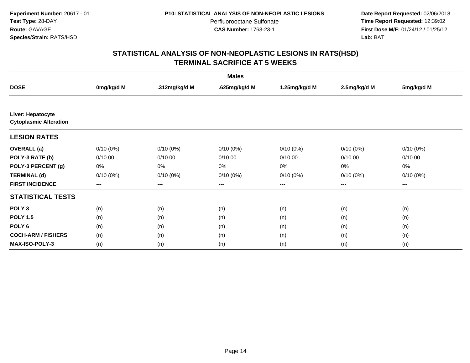**Date Report Requested:** 02/06/2018 **Time Report Requested:** 12:39:02 **First Dose M/F:** 01/24/12 / 01/25/12<br>**Lab:** BAT **Lab:** BAT

|                                                    |             |               | <b>Males</b>  |               |              |             |
|----------------------------------------------------|-------------|---------------|---------------|---------------|--------------|-------------|
| <b>DOSE</b>                                        | 0mg/kg/d M  | .312mg/kg/d M | .625mg/kg/d M | 1.25mg/kg/d M | 2.5mg/kg/d M | 5mg/kg/d M  |
|                                                    |             |               |               |               |              |             |
| Liver: Hepatocyte<br><b>Cytoplasmic Alteration</b> |             |               |               |               |              |             |
| <b>LESION RATES</b>                                |             |               |               |               |              |             |
| <b>OVERALL</b> (a)                                 | $0/10(0\%)$ | $0/10(0\%)$   | $0/10(0\%)$   | $0/10(0\%)$   | $0/10(0\%)$  | $0/10(0\%)$ |
| POLY-3 RATE (b)                                    | 0/10.00     | 0/10.00       | 0/10.00       | 0/10.00       | 0/10.00      | 0/10.00     |
| POLY-3 PERCENT (g)                                 | 0%          | 0%            | 0%            | 0%            | 0%           | 0%          |
| <b>TERMINAL (d)</b>                                | $0/10(0\%)$ | $0/10(0\%)$   | $0/10(0\%)$   | $0/10(0\%)$   | $0/10(0\%)$  | $0/10(0\%)$ |
| <b>FIRST INCIDENCE</b>                             | $---$       | $---$         | ---           | $---$         | ---          | ---         |
| <b>STATISTICAL TESTS</b>                           |             |               |               |               |              |             |
| POLY <sub>3</sub>                                  | (n)         | (n)           | (n)           | (n)           | (n)          | (n)         |
| <b>POLY 1.5</b>                                    | (n)         | (n)           | (n)           | (n)           | (n)          | (n)         |
| POLY <sub>6</sub>                                  | (n)         | (n)           | (n)           | (n)           | (n)          | (n)         |
| <b>COCH-ARM / FISHERS</b>                          | (n)         | (n)           | (n)           | (n)           | (n)          | (n)         |
| <b>MAX-ISO-POLY-3</b>                              | (n)         | (n)           | (n)           | (n)           | (n)          | (n)         |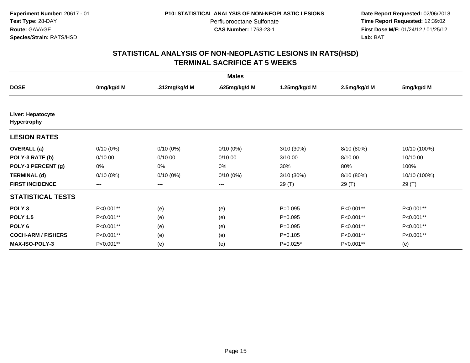**Date Report Requested:** 02/06/2018 **Time Report Requested:** 12:39:02 **First Dose M/F:** 01/24/12 / 01/25/12<br>**Lab:** BAT **Lab:** BAT

|                                  |             |               | <b>Males</b>  |               |              |              |
|----------------------------------|-------------|---------------|---------------|---------------|--------------|--------------|
| <b>DOSE</b>                      | 0mg/kg/d M  | .312mg/kg/d M | .625mg/kg/d M | 1.25mg/kg/d M | 2.5mg/kg/d M | 5mg/kg/d M   |
|                                  |             |               |               |               |              |              |
| Liver: Hepatocyte<br>Hypertrophy |             |               |               |               |              |              |
| <b>LESION RATES</b>              |             |               |               |               |              |              |
| <b>OVERALL</b> (a)               | $0/10(0\%)$ | $0/10(0\%)$   | $0/10(0\%)$   | 3/10 (30%)    | 8/10 (80%)   | 10/10 (100%) |
| POLY-3 RATE (b)                  | 0/10.00     | 0/10.00       | 0/10.00       | 3/10.00       | 8/10.00      | 10/10.00     |
| POLY-3 PERCENT (g)               | 0%          | 0%            | 0%            | 30%           | 80%          | 100%         |
| <b>TERMINAL (d)</b>              | $0/10(0\%)$ | $0/10(0\%)$   | $0/10(0\%)$   | 3/10 (30%)    | 8/10 (80%)   | 10/10 (100%) |
| <b>FIRST INCIDENCE</b>           | ---         | $---$         | $--$          | 29(T)         | 29 (T)       | 29 (T)       |
| <b>STATISTICAL TESTS</b>         |             |               |               |               |              |              |
| POLY <sub>3</sub>                | P<0.001**   | (e)           | (e)           | $P = 0.095$   | P<0.001**    | P<0.001**    |
| <b>POLY 1.5</b>                  | P<0.001**   | (e)           | (e)           | $P = 0.095$   | P<0.001**    | P<0.001**    |
| POLY <sub>6</sub>                | P<0.001**   | (e)           | (e)           | $P = 0.095$   | P<0.001**    | P<0.001**    |
| <b>COCH-ARM / FISHERS</b>        | P<0.001**   | (e)           | (e)           | $P = 0.105$   | P<0.001**    | P<0.001**    |
| <b>MAX-ISO-POLY-3</b>            | P<0.001**   | (e)           | (e)           | $P=0.025*$    | P<0.001**    | (e)          |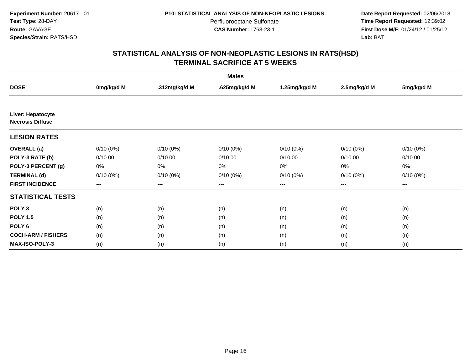**Date Report Requested:** 02/06/2018 **Time Report Requested:** 12:39:02 **First Dose M/F:** 01/24/12 / 01/25/12<br>**Lab:** BAT **Lab:** BAT

| <b>Males</b>                                 |             |               |               |               |              |             |  |  |
|----------------------------------------------|-------------|---------------|---------------|---------------|--------------|-------------|--|--|
| <b>DOSE</b>                                  | 0mg/kg/d M  | .312mg/kg/d M | .625mg/kg/d M | 1.25mg/kg/d M | 2.5mg/kg/d M | 5mg/kg/d M  |  |  |
|                                              |             |               |               |               |              |             |  |  |
| Liver: Hepatocyte<br><b>Necrosis Diffuse</b> |             |               |               |               |              |             |  |  |
| <b>LESION RATES</b>                          |             |               |               |               |              |             |  |  |
| <b>OVERALL</b> (a)                           | $0/10(0\%)$ | $0/10(0\%)$   | $0/10(0\%)$   | $0/10(0\%)$   | $0/10(0\%)$  | $0/10(0\%)$ |  |  |
| POLY-3 RATE (b)                              | 0/10.00     | 0/10.00       | 0/10.00       | 0/10.00       | 0/10.00      | 0/10.00     |  |  |
| POLY-3 PERCENT (g)                           | 0%          | 0%            | 0%            | 0%            | 0%           | 0%          |  |  |
| <b>TERMINAL (d)</b>                          | $0/10(0\%)$ | $0/10(0\%)$   | $0/10(0\%)$   | $0/10(0\%)$   | $0/10(0\%)$  | $0/10(0\%)$ |  |  |
| <b>FIRST INCIDENCE</b>                       | $---$       | $---$         | ---           | $---$         | $---$        | ---         |  |  |
| <b>STATISTICAL TESTS</b>                     |             |               |               |               |              |             |  |  |
| POLY <sub>3</sub>                            | (n)         | (n)           | (n)           | (n)           | (n)          | (n)         |  |  |
| <b>POLY 1.5</b>                              | (n)         | (n)           | (n)           | (n)           | (n)          | (n)         |  |  |
| POLY <sub>6</sub>                            | (n)         | (n)           | (n)           | (n)           | (n)          | (n)         |  |  |
| <b>COCH-ARM / FISHERS</b>                    | (n)         | (n)           | (n)           | (n)           | (n)          | (n)         |  |  |
| <b>MAX-ISO-POLY-3</b>                        | (n)         | (n)           | (n)           | (n)           | (n)          | (n)         |  |  |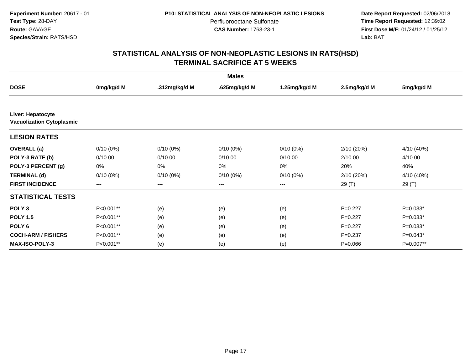**Date Report Requested:** 02/06/2018 **Time Report Requested:** 12:39:02 **First Dose M/F:** 01/24/12 / 01/25/12<br>**Lab:** BAT **Lab:** BAT

|                                                       |                   |               | <b>Males</b>  |                   |              |            |
|-------------------------------------------------------|-------------------|---------------|---------------|-------------------|--------------|------------|
| <b>DOSE</b>                                           | 0mg/kg/d M        | .312mg/kg/d M | .625mg/kg/d M | 1.25mg/kg/d M     | 2.5mg/kg/d M | 5mg/kg/d M |
|                                                       |                   |               |               |                   |              |            |
| Liver: Hepatocyte<br><b>Vacuolization Cytoplasmic</b> |                   |               |               |                   |              |            |
| <b>LESION RATES</b>                                   |                   |               |               |                   |              |            |
| <b>OVERALL</b> (a)                                    | $0/10(0\%)$       | $0/10(0\%)$   | $0/10(0\%)$   | $0/10(0\%)$       | 2/10(20%)    | 4/10 (40%) |
| POLY-3 RATE (b)                                       | 0/10.00           | 0/10.00       | 0/10.00       | 0/10.00           | 2/10.00      | 4/10.00    |
| POLY-3 PERCENT (g)                                    | 0%                | 0%            | 0%            | 0%                | 20%          | 40%        |
| <b>TERMINAL (d)</b>                                   | $0/10(0\%)$       | $0/10(0\%)$   | $0/10(0\%)$   | $0/10(0\%)$       | 2/10(20%)    | 4/10 (40%) |
| <b>FIRST INCIDENCE</b>                                | $\qquad \qquad -$ | ---           | ---           | $\qquad \qquad -$ | 29 (T)       | 29 (T)     |
| <b>STATISTICAL TESTS</b>                              |                   |               |               |                   |              |            |
| POLY <sub>3</sub>                                     | P<0.001**         | (e)           | (e)           | (e)               | $P=0.227$    | $P=0.033*$ |
| <b>POLY 1.5</b>                                       | P<0.001**         | (e)           | (e)           | (e)               | $P=0.227$    | $P=0.033*$ |
| POLY <sub>6</sub>                                     | P<0.001**         | (e)           | (e)           | (e)               | $P=0.227$    | $P=0.033*$ |
| <b>COCH-ARM / FISHERS</b>                             | P<0.001**         | (e)           | (e)           | (e)               | $P=0.237$    | $P=0.043*$ |
| <b>MAX-ISO-POLY-3</b>                                 | P<0.001**         | (e)           | (e)           | (e)               | $P = 0.066$  | P=0.007**  |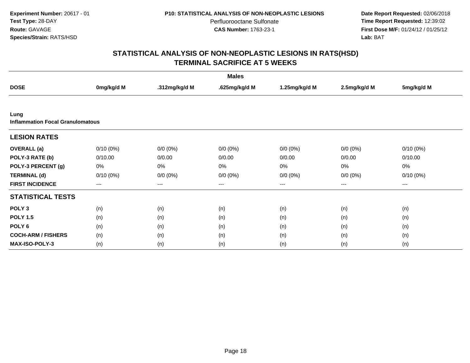**Date Report Requested:** 02/06/2018 **Time Report Requested:** 12:39:02 **First Dose M/F:** 01/24/12 / 01/25/12<br>**Lab:** BAT **Lab:** BAT

|                                                 |             |                   | <b>Males</b>  |                   |              |             |
|-------------------------------------------------|-------------|-------------------|---------------|-------------------|--------------|-------------|
| <b>DOSE</b>                                     | 0mg/kg/d M  | .312mg/kg/d M     | .625mg/kg/d M | 1.25mg/kg/d M     | 2.5mg/kg/d M | 5mg/kg/d M  |
|                                                 |             |                   |               |                   |              |             |
| Lung<br><b>Inflammation Focal Granulomatous</b> |             |                   |               |                   |              |             |
| <b>LESION RATES</b>                             |             |                   |               |                   |              |             |
| <b>OVERALL</b> (a)                              | $0/10(0\%)$ | $0/0 (0\%)$       | $0/0 (0\%)$   | $0/0 (0\%)$       | $0/0 (0\%)$  | $0/10(0\%)$ |
| POLY-3 RATE (b)                                 | 0/10.00     | 0/0.00            | 0/0.00        | 0/0.00            | 0/0.00       | 0/10.00     |
| POLY-3 PERCENT (g)                              | 0%          | 0%                | 0%            | 0%                | 0%           | 0%          |
| <b>TERMINAL (d)</b>                             | $0/10(0\%)$ | $0/0 (0\%)$       | $0/0 (0\%)$   | $0/0 (0\%)$       | $0/0 (0\%)$  | $0/10(0\%)$ |
| <b>FIRST INCIDENCE</b>                          | $---$       | $\qquad \qquad -$ | $---$         | $\qquad \qquad -$ | $\cdots$     | $\cdots$    |
| <b>STATISTICAL TESTS</b>                        |             |                   |               |                   |              |             |
| POLY <sub>3</sub>                               | (n)         | (n)               | (n)           | (n)               | (n)          | (n)         |
| <b>POLY 1.5</b>                                 | (n)         | (n)               | (n)           | (n)               | (n)          | (n)         |
| POLY <sub>6</sub>                               | (n)         | (n)               | (n)           | (n)               | (n)          | (n)         |
| <b>COCH-ARM / FISHERS</b>                       | (n)         | (n)               | (n)           | (n)               | (n)          | (n)         |
| <b>MAX-ISO-POLY-3</b>                           | (n)         | (n)               | (n)           | (n)               | (n)          | (n)         |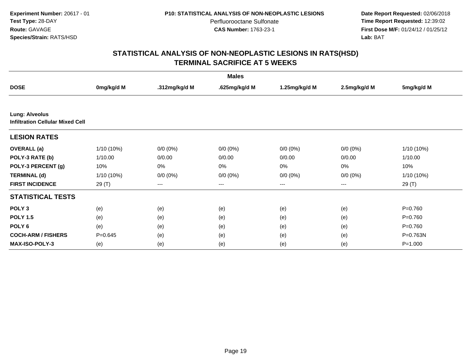**Date Report Requested:** 02/06/2018 **Time Report Requested:** 12:39:02 **First Dose M/F:** 01/24/12 / 01/25/12<br>**Lab:** BAT **Lab:** BAT

|                                                                  |              |               | <b>Males</b>  |               |              |             |
|------------------------------------------------------------------|--------------|---------------|---------------|---------------|--------------|-------------|
| <b>DOSE</b>                                                      | 0mg/kg/d M   | .312mg/kg/d M | .625mg/kg/d M | 1.25mg/kg/d M | 2.5mg/kg/d M | 5mg/kg/d M  |
|                                                                  |              |               |               |               |              |             |
| <b>Lung: Alveolus</b><br><b>Infiltration Cellular Mixed Cell</b> |              |               |               |               |              |             |
| <b>LESION RATES</b>                                              |              |               |               |               |              |             |
| <b>OVERALL</b> (a)                                               | 1/10 (10%)   | $0/0 (0\%)$   | $0/0 (0\%)$   | $0/0 (0\%)$   | $0/0 (0\%)$  | 1/10 (10%)  |
| POLY-3 RATE (b)                                                  | 1/10.00      | 0/0.00        | 0/0.00        | 0/0.00        | 0/0.00       | 1/10.00     |
| POLY-3 PERCENT (g)                                               | 10%          | 0%            | 0%            | 0%            | 0%           | 10%         |
| <b>TERMINAL (d)</b>                                              | $1/10(10\%)$ | $0/0 (0\%)$   | $0/0 (0\%)$   | $0/0(0\%)$    | $0/0 (0\%)$  | 1/10 (10%)  |
| <b>FIRST INCIDENCE</b>                                           | 29 (T)       | ---           | $---$         | $\cdots$      | ---          | 29 (T)      |
| <b>STATISTICAL TESTS</b>                                         |              |               |               |               |              |             |
| POLY <sub>3</sub>                                                | (e)          | (e)           | (e)           | (e)           | (e)          | $P=0.760$   |
| <b>POLY 1.5</b>                                                  | (e)          | (e)           | (e)           | (e)           | (e)          | $P=0.760$   |
| POLY <sub>6</sub>                                                | (e)          | (e)           | (e)           | (e)           | (e)          | $P = 0.760$ |
| <b>COCH-ARM / FISHERS</b>                                        | $P = 0.645$  | (e)           | (e)           | (e)           | (e)          | P=0.763N    |
| <b>MAX-ISO-POLY-3</b>                                            | (e)          | (e)           | (e)           | (e)           | (e)          | $P = 1.000$ |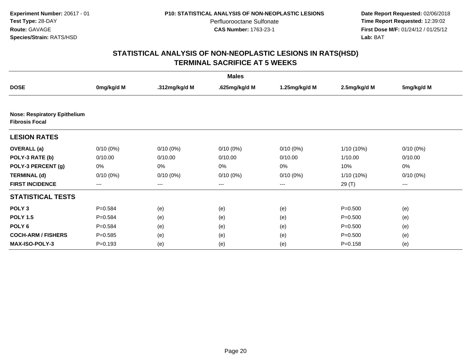**Date Report Requested:** 02/06/2018 **Time Report Requested:** 12:39:02 **First Dose M/F:** 01/24/12 / 01/25/12<br>**Lab:** BAT **Lab:** BAT

| <b>Males</b>                                                 |             |               |                   |               |              |             |  |  |
|--------------------------------------------------------------|-------------|---------------|-------------------|---------------|--------------|-------------|--|--|
| <b>DOSE</b>                                                  | 0mg/kg/d M  | .312mg/kg/d M | .625mg/kg/d M     | 1.25mg/kg/d M | 2.5mg/kg/d M | 5mg/kg/d M  |  |  |
|                                                              |             |               |                   |               |              |             |  |  |
| <b>Nose: Respiratory Epithelium</b><br><b>Fibrosis Focal</b> |             |               |                   |               |              |             |  |  |
| <b>LESION RATES</b>                                          |             |               |                   |               |              |             |  |  |
| <b>OVERALL</b> (a)                                           | $0/10(0\%)$ | $0/10(0\%)$   | $0/10(0\%)$       | $0/10(0\%)$   | 1/10 (10%)   | $0/10(0\%)$ |  |  |
| POLY-3 RATE (b)                                              | 0/10.00     | 0/10.00       | 0/10.00           | 0/10.00       | 1/10.00      | 0/10.00     |  |  |
| POLY-3 PERCENT (g)                                           | 0%          | 0%            | 0%                | 0%            | 10%          | 0%          |  |  |
| <b>TERMINAL (d)</b>                                          | $0/10(0\%)$ | $0/10(0\%)$   | $0/10(0\%)$       | $0/10(0\%)$   | 1/10 (10%)   | $0/10(0\%)$ |  |  |
| <b>FIRST INCIDENCE</b>                                       | ---         | ---           | $\qquad \qquad -$ | ---           | 29 (T)       | $--$        |  |  |
| <b>STATISTICAL TESTS</b>                                     |             |               |                   |               |              |             |  |  |
| POLY <sub>3</sub>                                            | $P = 0.584$ | (e)           | (e)               | (e)           | $P = 0.500$  | (e)         |  |  |
| <b>POLY 1.5</b>                                              | $P = 0.584$ | (e)           | (e)               | (e)           | $P = 0.500$  | (e)         |  |  |
| POLY <sub>6</sub>                                            | $P = 0.584$ | (e)           | (e)               | (e)           | $P = 0.500$  | (e)         |  |  |
| <b>COCH-ARM / FISHERS</b>                                    | $P = 0.585$ | (e)           | (e)               | (e)           | $P = 0.500$  | (e)         |  |  |
| MAX-ISO-POLY-3                                               | $P = 0.193$ | (e)           | (e)               | (e)           | $P = 0.158$  | (e)         |  |  |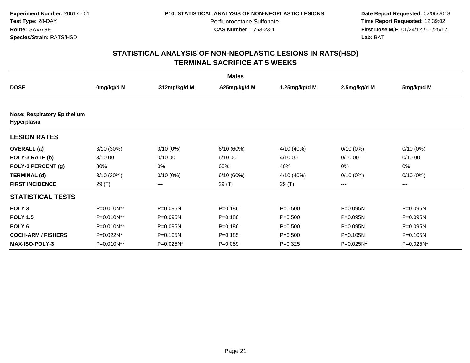**Date Report Requested:** 02/06/2018 **Time Report Requested:** 12:39:02 **First Dose M/F:** 01/24/12 / 01/25/12<br>**Lab:** BAT **Lab:** BAT

|                                                    |            |               | <b>Males</b>  |               |              |             |
|----------------------------------------------------|------------|---------------|---------------|---------------|--------------|-------------|
| <b>DOSE</b>                                        | 0mg/kg/d M | .312mg/kg/d M | .625mg/kg/d M | 1.25mg/kg/d M | 2.5mg/kg/d M | 5mg/kg/d M  |
|                                                    |            |               |               |               |              |             |
| <b>Nose: Respiratory Epithelium</b><br>Hyperplasia |            |               |               |               |              |             |
| <b>LESION RATES</b>                                |            |               |               |               |              |             |
| <b>OVERALL</b> (a)                                 | 3/10 (30%) | $0/10(0\%)$   | 6/10(60%)     | 4/10 (40%)    | $0/10(0\%)$  | $0/10(0\%)$ |
| POLY-3 RATE (b)                                    | 3/10.00    | 0/10.00       | 6/10.00       | 4/10.00       | 0/10.00      | 0/10.00     |
| POLY-3 PERCENT (g)                                 | 30%        | 0%            | 60%           | 40%           | $0\%$        | $0\%$       |
| <b>TERMINAL (d)</b>                                | 3/10 (30%) | $0/10(0\%)$   | 6/10 (60%)    | 4/10 (40%)    | $0/10(0\%)$  | $0/10(0\%)$ |
| <b>FIRST INCIDENCE</b>                             | 29 (T)     | ---           | 29(T)         | 29 (T)        | ---          | ---         |
| <b>STATISTICAL TESTS</b>                           |            |               |               |               |              |             |
| POLY <sub>3</sub>                                  | P=0.010N** | P=0.095N      | $P = 0.186$   | $P = 0.500$   | P=0.095N     | P=0.095N    |
| <b>POLY 1.5</b>                                    | P=0.010N** | P=0.095N      | $P = 0.186$   | $P = 0.500$   | P=0.095N     | P=0.095N    |
| POLY <sub>6</sub>                                  | P=0.010N** | P=0.095N      | $P = 0.186$   | $P = 0.500$   | P=0.095N     | P=0.095N    |
| <b>COCH-ARM / FISHERS</b>                          | P=0.022N*  | P=0.105N      | $P = 0.185$   | $P = 0.500$   | P=0.105N     | P=0.105N    |
| <b>MAX-ISO-POLY-3</b>                              | P=0.010N** | P=0.025N*     | $P = 0.089$   | $P=0.325$     | P=0.025N*    | P=0.025N*   |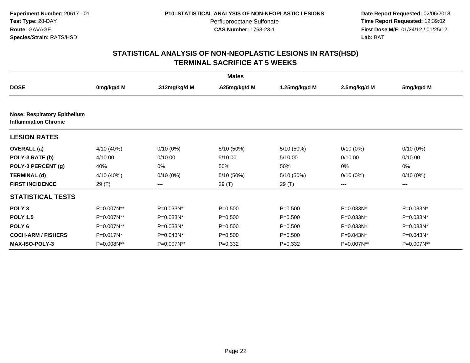**Date Report Requested:** 02/06/2018 **Time Report Requested:** 12:39:02 **First Dose M/F:** 01/24/12 / 01/25/12<br>**Lab:** BAT **Lab:** BAT

|                                                                    |            |                | <b>Males</b>  |               |              |             |
|--------------------------------------------------------------------|------------|----------------|---------------|---------------|--------------|-------------|
| <b>DOSE</b>                                                        | 0mg/kg/d M | .312mg/kg/d M  | .625mg/kg/d M | 1.25mg/kg/d M | 2.5mg/kg/d M | 5mg/kg/d M  |
|                                                                    |            |                |               |               |              |             |
| <b>Nose: Respiratory Epithelium</b><br><b>Inflammation Chronic</b> |            |                |               |               |              |             |
| <b>LESION RATES</b>                                                |            |                |               |               |              |             |
| <b>OVERALL</b> (a)                                                 | 4/10 (40%) | $0/10(0\%)$    | 5/10 (50%)    | 5/10 (50%)    | $0/10(0\%)$  | $0/10(0\%)$ |
| POLY-3 RATE (b)                                                    | 4/10.00    | 0/10.00        | 5/10.00       | 5/10.00       | 0/10.00      | 0/10.00     |
| POLY-3 PERCENT (g)                                                 | 40%        | 0%             | 50%           | 50%           | 0%           | 0%          |
| <b>TERMINAL (d)</b>                                                | 4/10 (40%) | $0/10(0\%)$    | 5/10 (50%)    | 5/10 (50%)    | $0/10(0\%)$  | $0/10(0\%)$ |
| <b>FIRST INCIDENCE</b>                                             | 29(T)      | ---            | 29(T)         | 29(T)         | ---          | ---         |
| <b>STATISTICAL TESTS</b>                                           |            |                |               |               |              |             |
| POLY <sub>3</sub>                                                  | P=0.007N** | P=0.033N*      | $P = 0.500$   | $P = 0.500$   | P=0.033N*    | P=0.033N*   |
| <b>POLY 1.5</b>                                                    | P=0.007N** | P=0.033N*      | $P = 0.500$   | $P = 0.500$   | P=0.033N*    | $P=0.033N*$ |
| POLY <sub>6</sub>                                                  | P=0.007N** | $P = 0.033N^*$ | $P = 0.500$   | $P = 0.500$   | $P=0.033N^*$ | P=0.033N*   |
| <b>COCH-ARM / FISHERS</b>                                          | P=0.017N*  | P=0.043N*      | $P = 0.500$   | $P = 0.500$   | $P=0.043N^*$ | P=0.043N*   |
| <b>MAX-ISO-POLY-3</b>                                              | P=0.008N** | P=0.007N**     | $P=0.332$     | $P=0.332$     | P=0.007N**   | P=0.007N**  |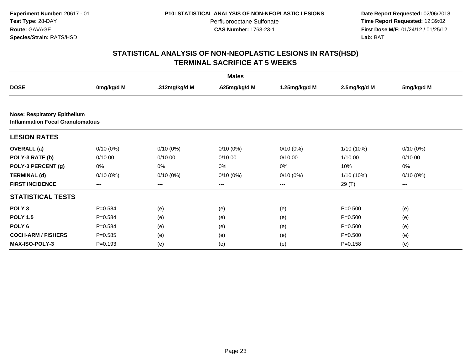**Date Report Requested:** 02/06/2018 **Time Report Requested:** 12:39:02 **First Dose M/F:** 01/24/12 / 01/25/12<br>**Lab:** BAT **Lab:** BAT

|                                                                                |             |               | <b>Males</b>  |               |              |             |  |  |
|--------------------------------------------------------------------------------|-------------|---------------|---------------|---------------|--------------|-------------|--|--|
| <b>DOSE</b>                                                                    | 0mg/kg/d M  | .312mg/kg/d M | .625mg/kg/d M | 1.25mg/kg/d M | 2.5mg/kg/d M | 5mg/kg/d M  |  |  |
|                                                                                |             |               |               |               |              |             |  |  |
| <b>Nose: Respiratory Epithelium</b><br><b>Inflammation Focal Granulomatous</b> |             |               |               |               |              |             |  |  |
| <b>LESION RATES</b>                                                            |             |               |               |               |              |             |  |  |
| <b>OVERALL</b> (a)                                                             | $0/10(0\%)$ | $0/10(0\%)$   | $0/10(0\%)$   | $0/10(0\%)$   | 1/10 (10%)   | $0/10(0\%)$ |  |  |
| POLY-3 RATE (b)                                                                | 0/10.00     | 0/10.00       | 0/10.00       | 0/10.00       | 1/10.00      | 0/10.00     |  |  |
| POLY-3 PERCENT (g)                                                             | 0%          | 0%            | 0%            | 0%            | 10%          | 0%          |  |  |
| <b>TERMINAL (d)</b>                                                            | $0/10(0\%)$ | $0/10(0\%)$   | $0/10(0\%)$   | $0/10(0\%)$   | 1/10 (10%)   | $0/10(0\%)$ |  |  |
| <b>FIRST INCIDENCE</b>                                                         | ---         | $---$         | $---$         | $---$         | 29(T)        | ---         |  |  |
| <b>STATISTICAL TESTS</b>                                                       |             |               |               |               |              |             |  |  |
| POLY <sub>3</sub>                                                              | $P = 0.584$ | (e)           | (e)           | (e)           | $P = 0.500$  | (e)         |  |  |
| <b>POLY 1.5</b>                                                                | $P=0.584$   | (e)           | (e)           | (e)           | $P = 0.500$  | (e)         |  |  |
| POLY <sub>6</sub>                                                              | $P=0.584$   | (e)           | (e)           | (e)           | $P = 0.500$  | (e)         |  |  |
| <b>COCH-ARM / FISHERS</b>                                                      | $P = 0.585$ | (e)           | (e)           | (e)           | $P = 0.500$  | (e)         |  |  |
| <b>MAX-ISO-POLY-3</b>                                                          | $P = 0.193$ | (e)           | (e)           | (e)           | $P = 0.158$  | (e)         |  |  |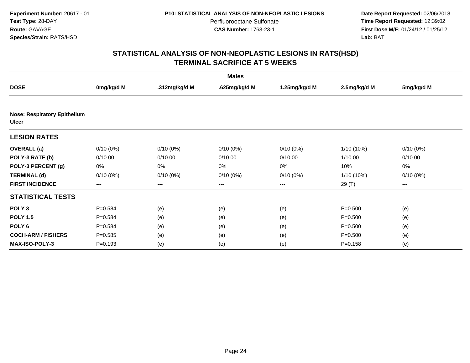**Date Report Requested:** 02/06/2018 **Time Report Requested:** 12:39:02 **First Dose M/F:** 01/24/12 / 01/25/12<br>**Lab:** BAT **Lab:** BAT

|                                                     |                   |               | <b>Males</b>  |                   |              |             |
|-----------------------------------------------------|-------------------|---------------|---------------|-------------------|--------------|-------------|
| <b>DOSE</b>                                         | 0mg/kg/d M        | .312mg/kg/d M | .625mg/kg/d M | 1.25mg/kg/d M     | 2.5mg/kg/d M | 5mg/kg/d M  |
|                                                     |                   |               |               |                   |              |             |
| <b>Nose: Respiratory Epithelium</b><br><b>Ulcer</b> |                   |               |               |                   |              |             |
| <b>LESION RATES</b>                                 |                   |               |               |                   |              |             |
| <b>OVERALL</b> (a)                                  | $0/10(0\%)$       | $0/10(0\%)$   | $0/10(0\%)$   | $0/10(0\%)$       | $1/10(10\%)$ | $0/10(0\%)$ |
| POLY-3 RATE (b)                                     | 0/10.00           | 0/10.00       | 0/10.00       | 0/10.00           | 1/10.00      | 0/10.00     |
| POLY-3 PERCENT (g)                                  | 0%                | 0%            | 0%            | 0%                | 10%          | 0%          |
| <b>TERMINAL (d)</b>                                 | $0/10(0\%)$       | $0/10(0\%)$   | $0/10(0\%)$   | $0/10(0\%)$       | $1/10(10\%)$ | $0/10(0\%)$ |
| <b>FIRST INCIDENCE</b>                              | $\qquad \qquad -$ | ---           | ---           | $\qquad \qquad -$ | 29 (T)       | ---         |
| <b>STATISTICAL TESTS</b>                            |                   |               |               |                   |              |             |
| POLY <sub>3</sub>                                   | $P = 0.584$       | (e)           | (e)           | (e)               | $P = 0.500$  | (e)         |
| <b>POLY 1.5</b>                                     | $P = 0.584$       | (e)           | (e)           | (e)               | $P = 0.500$  | (e)         |
| POLY <sub>6</sub>                                   | $P = 0.584$       | (e)           | (e)           | (e)               | $P = 0.500$  | (e)         |
| <b>COCH-ARM / FISHERS</b>                           | $P = 0.585$       | (e)           | (e)           | (e)               | $P = 0.500$  | (e)         |
| <b>MAX-ISO-POLY-3</b>                               | $P = 0.193$       | (e)           | (e)           | (e)               | $P = 0.158$  | (e)         |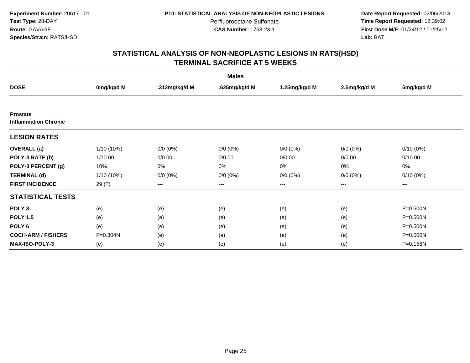**Date Report Requested:** 02/06/2018 **Time Report Requested:** 12:39:02 **First Dose M/F:** 01/24/12 / 01/25/12<br>**Lab:** BAT **Lab:** BAT

| <b>Males</b>                                   |            |               |               |               |              |             |  |  |
|------------------------------------------------|------------|---------------|---------------|---------------|--------------|-------------|--|--|
| <b>DOSE</b>                                    | 0mg/kg/d M | .312mg/kg/d M | .625mg/kg/d M | 1.25mg/kg/d M | 2.5mg/kg/d M | 5mg/kg/d M  |  |  |
|                                                |            |               |               |               |              |             |  |  |
| <b>Prostate</b><br><b>Inflammation Chronic</b> |            |               |               |               |              |             |  |  |
| <b>LESION RATES</b>                            |            |               |               |               |              |             |  |  |
| <b>OVERALL</b> (a)                             | 1/10 (10%) | $0/0 (0\%)$   | $0/0 (0\%)$   | $0/0 (0\%)$   | $0/0 (0\%)$  | $0/10(0\%)$ |  |  |
| POLY-3 RATE (b)                                | 1/10.00    | 0/0.00        | 0/0.00        | 0/0.00        | 0/0.00       | 0/10.00     |  |  |
| POLY-3 PERCENT (g)                             | 10%        | 0%            | 0%            | 0%            | 0%           | 0%          |  |  |
| <b>TERMINAL (d)</b>                            | 1/10 (10%) | $0/0 (0\%)$   | $0/0 (0\%)$   | $0/0 (0\%)$   | $0/0 (0\%)$  | $0/10(0\%)$ |  |  |
| <b>FIRST INCIDENCE</b>                         | 29 (T)     | $---$         | $---$         | $---$         | ---          | $\cdots$    |  |  |
| <b>STATISTICAL TESTS</b>                       |            |               |               |               |              |             |  |  |
| POLY <sub>3</sub>                              | (e)        | (e)           | (e)           | (e)           | (e)          | P=0.500N    |  |  |
| <b>POLY 1.5</b>                                | (e)        | (e)           | (e)           | (e)           | (e)          | P=0.500N    |  |  |
| POLY <sub>6</sub>                              | (e)        | (e)           | (e)           | (e)           | (e)          | P=0.500N    |  |  |
| <b>COCH-ARM / FISHERS</b>                      | P=0.304N   | (e)           | (e)           | (e)           | (e)          | P=0.500N    |  |  |
| <b>MAX-ISO-POLY-3</b>                          | (e)        | (e)           | (e)           | (e)           | (e)          | P=0.158N    |  |  |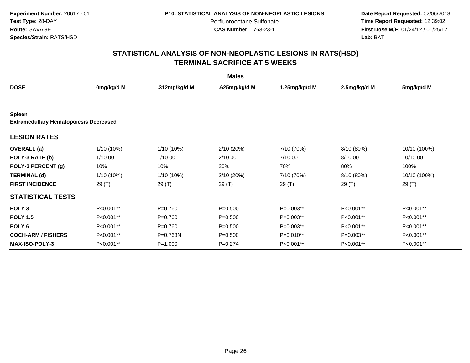**Date Report Requested:** 02/06/2018 **Time Report Requested:** 12:39:02 **First Dose M/F:** 01/24/12 / 01/25/12<br>**Lab:** BAT **Lab:** BAT

| <b>Males</b>                                  |            |               |               |               |              |              |  |  |
|-----------------------------------------------|------------|---------------|---------------|---------------|--------------|--------------|--|--|
| <b>DOSE</b>                                   | 0mg/kg/d M | .312mg/kg/d M | .625mg/kg/d M | 1.25mg/kg/d M | 2.5mg/kg/d M | 5mg/kg/d M   |  |  |
|                                               |            |               |               |               |              |              |  |  |
| <b>Spleen</b>                                 |            |               |               |               |              |              |  |  |
| <b>Extramedullary Hematopoiesis Decreased</b> |            |               |               |               |              |              |  |  |
| <b>LESION RATES</b>                           |            |               |               |               |              |              |  |  |
| <b>OVERALL</b> (a)                            | 1/10 (10%) | 1/10 (10%)    | 2/10(20%)     | 7/10 (70%)    | 8/10 (80%)   | 10/10 (100%) |  |  |
| POLY-3 RATE (b)                               | 1/10.00    | 1/10.00       | 2/10.00       | 7/10.00       | 8/10.00      | 10/10.00     |  |  |
| POLY-3 PERCENT (g)                            | 10%        | 10%           | 20%           | 70%           | 80%          | 100%         |  |  |
| <b>TERMINAL (d)</b>                           | 1/10 (10%) | 1/10 (10%)    | 2/10 (20%)    | 7/10 (70%)    | 8/10 (80%)   | 10/10 (100%) |  |  |
| <b>FIRST INCIDENCE</b>                        | 29 (T)     | 29 (T)        | 29 (T)        | 29(T)         | 29 (T)       | 29(T)        |  |  |
| <b>STATISTICAL TESTS</b>                      |            |               |               |               |              |              |  |  |
| POLY <sub>3</sub>                             | P<0.001**  | $P = 0.760$   | $P = 0.500$   | $P=0.003**$   | P<0.001**    | P<0.001**    |  |  |
| <b>POLY 1.5</b>                               | P<0.001**  | $P = 0.760$   | $P = 0.500$   | $P=0.003**$   | P<0.001**    | P<0.001**    |  |  |
| POLY <sub>6</sub>                             | P<0.001**  | $P = 0.760$   | $P = 0.500$   | $P=0.003**$   | P<0.001**    | P<0.001**    |  |  |
| <b>COCH-ARM / FISHERS</b>                     | P<0.001**  | P=0.763N      | $P = 0.500$   | P=0.010**     | $P=0.003**$  | P<0.001**    |  |  |
| <b>MAX-ISO-POLY-3</b>                         | P<0.001**  | $P = 1.000$   | $P = 0.274$   | P<0.001**     | P<0.001**    | P<0.001**    |  |  |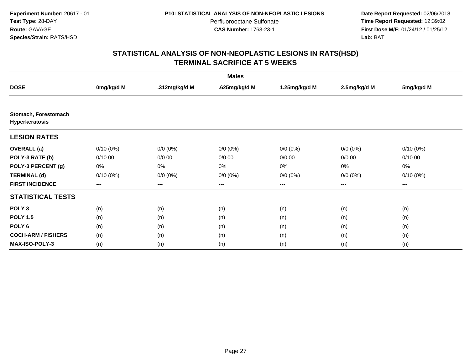**Date Report Requested:** 02/06/2018 **Time Report Requested:** 12:39:02 **First Dose M/F:** 01/24/12 / 01/25/12<br>**Lab:** BAT **Lab:** BAT

| <b>Males</b>                           |                   |               |               |                   |              |             |  |  |
|----------------------------------------|-------------------|---------------|---------------|-------------------|--------------|-------------|--|--|
| <b>DOSE</b>                            | 0mg/kg/d M        | .312mg/kg/d M | .625mg/kg/d M | 1.25mg/kg/d M     | 2.5mg/kg/d M | 5mg/kg/d M  |  |  |
|                                        |                   |               |               |                   |              |             |  |  |
| Stomach, Forestomach<br>Hyperkeratosis |                   |               |               |                   |              |             |  |  |
| <b>LESION RATES</b>                    |                   |               |               |                   |              |             |  |  |
| <b>OVERALL</b> (a)                     | $0/10(0\%)$       | $0/0 (0\%)$   | $0/0 (0\%)$   | $0/0 (0\%)$       | $0/0 (0\%)$  | $0/10(0\%)$ |  |  |
| POLY-3 RATE (b)                        | 0/10.00           | 0/0.00        | 0/0.00        | 0/0.00            | 0/0.00       | 0/10.00     |  |  |
| POLY-3 PERCENT (g)                     | 0%                | 0%            | 0%            | 0%                | 0%           | 0%          |  |  |
| <b>TERMINAL (d)</b>                    | $0/10(0\%)$       | $0/0 (0\%)$   | $0/0 (0\%)$   | $0/0 (0\%)$       | $0/0 (0\%)$  | $0/10(0\%)$ |  |  |
| <b>FIRST INCIDENCE</b>                 | $\qquad \qquad -$ | ---           | ---           | $\qquad \qquad -$ | $---$        | ---         |  |  |
| <b>STATISTICAL TESTS</b>               |                   |               |               |                   |              |             |  |  |
| POLY <sub>3</sub>                      | (n)               | (n)           | (n)           | (n)               | (n)          | (n)         |  |  |
| <b>POLY 1.5</b>                        | (n)               | (n)           | (n)           | (n)               | (n)          | (n)         |  |  |
| POLY <sub>6</sub>                      | (n)               | (n)           | (n)           | (n)               | (n)          | (n)         |  |  |
| <b>COCH-ARM / FISHERS</b>              | (n)               | (n)           | (n)           | (n)               | (n)          | (n)         |  |  |
| <b>MAX-ISO-POLY-3</b>                  | (n)               | (n)           | (n)           | (n)               | (n)          | (n)         |  |  |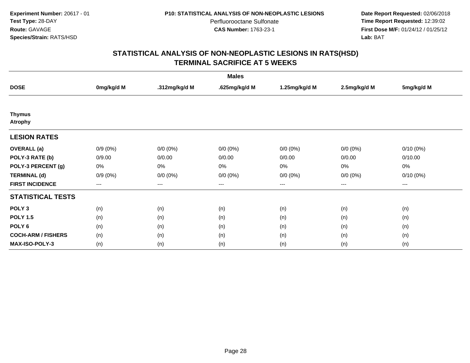**Date Report Requested:** 02/06/2018 **Time Report Requested:** 12:39:02 **First Dose M/F:** 01/24/12 / 01/25/12<br>**Lab:** BAT **Lab:** BAT

| <b>Males</b>                    |            |                   |               |                   |              |             |  |  |
|---------------------------------|------------|-------------------|---------------|-------------------|--------------|-------------|--|--|
| <b>DOSE</b>                     | 0mg/kg/d M | .312mg/kg/d M     | .625mg/kg/d M | 1.25mg/kg/d M     | 2.5mg/kg/d M | 5mg/kg/d M  |  |  |
|                                 |            |                   |               |                   |              |             |  |  |
| <b>Thymus</b><br><b>Atrophy</b> |            |                   |               |                   |              |             |  |  |
| <b>LESION RATES</b>             |            |                   |               |                   |              |             |  |  |
| <b>OVERALL</b> (a)              | $0/9(0\%)$ | $0/0 (0\%)$       | $0/0 (0\%)$   | $0/0 (0\%)$       | $0/0 (0\%)$  | $0/10(0\%)$ |  |  |
| POLY-3 RATE (b)                 | 0/9.00     | 0/0.00            | 0/0.00        | 0/0.00            | 0/0.00       | 0/10.00     |  |  |
| POLY-3 PERCENT (g)              | 0%         | 0%                | 0%            | 0%                | $0\%$        | 0%          |  |  |
| <b>TERMINAL (d)</b>             | $0/9(0\%)$ | $0/0 (0\%)$       | $0/0 (0\%)$   | $0/0 (0\%)$       | $0/0 (0\%)$  | $0/10(0\%)$ |  |  |
| <b>FIRST INCIDENCE</b>          | $---$      | $\qquad \qquad -$ | $---$         | $\qquad \qquad -$ | $\cdots$     | $\cdots$    |  |  |
| <b>STATISTICAL TESTS</b>        |            |                   |               |                   |              |             |  |  |
| POLY <sub>3</sub>               | (n)        | (n)               | (n)           | (n)               | (n)          | (n)         |  |  |
| <b>POLY 1.5</b>                 | (n)        | (n)               | (n)           | (n)               | (n)          | (n)         |  |  |
| POLY <sub>6</sub>               | (n)        | (n)               | (n)           | (n)               | (n)          | (n)         |  |  |
| <b>COCH-ARM / FISHERS</b>       | (n)        | (n)               | (n)           | (n)               | (n)          | (n)         |  |  |
| <b>MAX-ISO-POLY-3</b>           | (n)        | (n)               | (n)           | (n)               | (n)          | (n)         |  |  |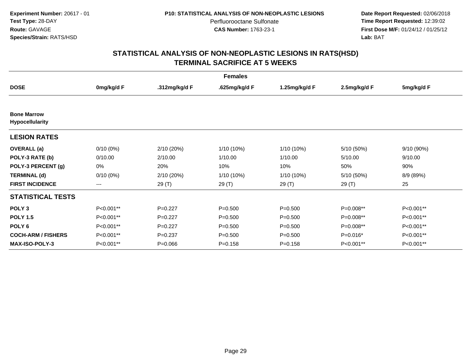**Date Report Requested:** 02/06/2018 **Time Report Requested:** 12:39:02 **First Dose M/F:** 01/24/12 / 01/25/12<br>**Lab:** BAT **Lab:** BAT

| <b>Females</b>                               |             |               |               |               |              |            |  |  |
|----------------------------------------------|-------------|---------------|---------------|---------------|--------------|------------|--|--|
| <b>DOSE</b>                                  | 0mg/kg/d F  | .312mg/kg/d F | .625mg/kg/d F | 1.25mg/kg/d F | 2.5mg/kg/d F | 5mg/kg/d F |  |  |
|                                              |             |               |               |               |              |            |  |  |
| <b>Bone Marrow</b><br><b>Hypocellularity</b> |             |               |               |               |              |            |  |  |
| <b>LESION RATES</b>                          |             |               |               |               |              |            |  |  |
| <b>OVERALL</b> (a)                           | $0/10(0\%)$ | 2/10 (20%)    | 1/10 (10%)    | 1/10 (10%)    | 5/10 (50%)   | 9/10(90%)  |  |  |
| POLY-3 RATE (b)                              | 0/10.00     | 2/10.00       | 1/10.00       | 1/10.00       | 5/10.00      | 9/10.00    |  |  |
| POLY-3 PERCENT (g)                           | 0%          | 20%           | 10%           | 10%           | 50%          | 90%        |  |  |
| <b>TERMINAL (d)</b>                          | $0/10(0\%)$ | 2/10 (20%)    | 1/10 (10%)    | 1/10 (10%)    | 5/10 (50%)   | 8/9 (89%)  |  |  |
| <b>FIRST INCIDENCE</b>                       | ---         | 29 (T)        | 29 (T)        | 29(T)         | 29 (T)       | 25         |  |  |
| <b>STATISTICAL TESTS</b>                     |             |               |               |               |              |            |  |  |
| POLY <sub>3</sub>                            | P<0.001**   | $P=0.227$     | $P = 0.500$   | $P = 0.500$   | P=0.008**    | P<0.001**  |  |  |
| <b>POLY 1.5</b>                              | P<0.001**   | $P=0.227$     | $P = 0.500$   | $P = 0.500$   | P=0.008**    | P<0.001**  |  |  |
| POLY <sub>6</sub>                            | P<0.001**   | $P=0.227$     | $P = 0.500$   | $P = 0.500$   | P=0.008**    | P<0.001**  |  |  |
| <b>COCH-ARM / FISHERS</b>                    | P<0.001**   | $P = 0.237$   | $P = 0.500$   | $P = 0.500$   | $P=0.016*$   | P<0.001**  |  |  |
| <b>MAX-ISO-POLY-3</b>                        | P<0.001**   | $P = 0.066$   | $P = 0.158$   | $P = 0.158$   | P<0.001**    | P<0.001**  |  |  |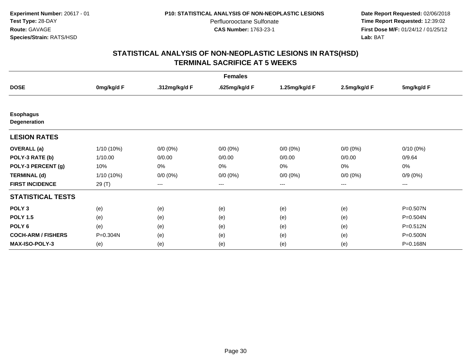**Date Report Requested:** 02/06/2018 **Time Report Requested:** 12:39:02 **First Dose M/F:** 01/24/12 / 01/25/12<br>**Lab:** BAT **Lab:** BAT

| <b>Females</b>                   |            |               |               |               |              |             |  |  |
|----------------------------------|------------|---------------|---------------|---------------|--------------|-------------|--|--|
| <b>DOSE</b>                      | 0mg/kg/d F | .312mg/kg/d F | .625mg/kg/d F | 1.25mg/kg/d F | 2.5mg/kg/d F | 5mg/kg/d F  |  |  |
|                                  |            |               |               |               |              |             |  |  |
| <b>Esophagus</b><br>Degeneration |            |               |               |               |              |             |  |  |
| <b>LESION RATES</b>              |            |               |               |               |              |             |  |  |
| <b>OVERALL</b> (a)               | 1/10 (10%) | $0/0 (0\%)$   | $0/0 (0\%)$   | $0/0 (0\%)$   | $0/0 (0\%)$  | $0/10(0\%)$ |  |  |
| POLY-3 RATE (b)                  | 1/10.00    | 0/0.00        | 0/0.00        | 0/0.00        | 0/0.00       | 0/9.64      |  |  |
| POLY-3 PERCENT (g)               | 10%        | 0%            | 0%            | 0%            | 0%           | 0%          |  |  |
| <b>TERMINAL (d)</b>              | 1/10 (10%) | $0/0 (0\%)$   | $0/0 (0\%)$   | $0/0 (0\%)$   | $0/0 (0\%)$  | $0/9(0\%)$  |  |  |
| <b>FIRST INCIDENCE</b>           | 29 (T)     | $---$         | $---$         | ---           | ---          | $---$       |  |  |
| <b>STATISTICAL TESTS</b>         |            |               |               |               |              |             |  |  |
| POLY <sub>3</sub>                | (e)        | (e)           | (e)           | (e)           | (e)          | P=0.507N    |  |  |
| <b>POLY 1.5</b>                  | (e)        | (e)           | (e)           | (e)           | (e)          | P=0.504N    |  |  |
| POLY <sub>6</sub>                | (e)        | (e)           | (e)           | (e)           | (e)          | P=0.512N    |  |  |
| <b>COCH-ARM / FISHERS</b>        | P=0.304N   | (e)           | (e)           | (e)           | (e)          | P=0.500N    |  |  |
| <b>MAX-ISO-POLY-3</b>            | (e)        | (e)           | (e)           | (e)           | (e)          | P=0.168N    |  |  |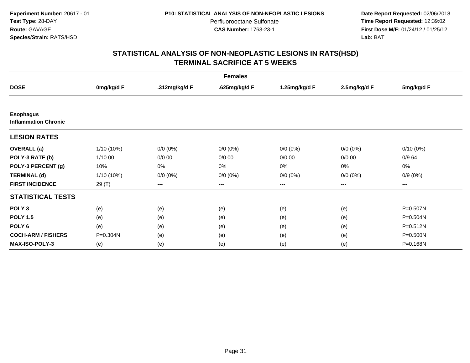**Date Report Requested:** 02/06/2018 **Time Report Requested:** 12:39:02 **First Dose M/F:** 01/24/12 / 01/25/12<br>**Lab:** BAT **Lab:** BAT

|                                                 | <b>Females</b> |               |               |                        |              |              |  |  |  |
|-------------------------------------------------|----------------|---------------|---------------|------------------------|--------------|--------------|--|--|--|
| <b>DOSE</b>                                     | 0mg/kg/d F     | .312mg/kg/d F | .625mg/kg/d F | 1.25mg/kg/d F          | 2.5mg/kg/d F | 5mg/kg/d F   |  |  |  |
|                                                 |                |               |               |                        |              |              |  |  |  |
| <b>Esophagus</b><br><b>Inflammation Chronic</b> |                |               |               |                        |              |              |  |  |  |
| <b>LESION RATES</b>                             |                |               |               |                        |              |              |  |  |  |
| <b>OVERALL</b> (a)                              | 1/10 (10%)     | $0/0 (0\%)$   | $0/0 (0\%)$   | $0/0 (0\%)$            | $0/0 (0\%)$  | $0/10(0\%)$  |  |  |  |
| POLY-3 RATE (b)                                 | 1/10.00        | 0/0.00        | 0/0.00        | 0/0.00                 | 0/0.00       | 0/9.64       |  |  |  |
| POLY-3 PERCENT (g)                              | 10%            | 0%            | $0\%$         | 0%                     | 0%           | 0%           |  |  |  |
| <b>TERMINAL (d)</b>                             | $1/10(10\%)$   | $0/0 (0\%)$   | $0/0 (0\%)$   | $0/0 (0\%)$            | $0/0 (0\%)$  | $0/9(0\%)$   |  |  |  |
| <b>FIRST INCIDENCE</b>                          | 29 (T)         | $---$         | ---           | $\qquad \qquad \cdots$ | ---          | ---          |  |  |  |
| <b>STATISTICAL TESTS</b>                        |                |               |               |                        |              |              |  |  |  |
| POLY <sub>3</sub>                               | (e)            | (e)           | (e)           | (e)                    | (e)          | P=0.507N     |  |  |  |
| <b>POLY 1.5</b>                                 | (e)            | (e)           | (e)           | (e)                    | (e)          | $P = 0.504N$ |  |  |  |
| POLY <sub>6</sub>                               | (e)            | (e)           | (e)           | (e)                    | (e)          | P=0.512N     |  |  |  |
| <b>COCH-ARM / FISHERS</b>                       | P=0.304N       | (e)           | (e)           | (e)                    | (e)          | P=0.500N     |  |  |  |
| <b>MAX-ISO-POLY-3</b>                           | (e)            | (e)           | (e)           | (e)                    | (e)          | P=0.168N     |  |  |  |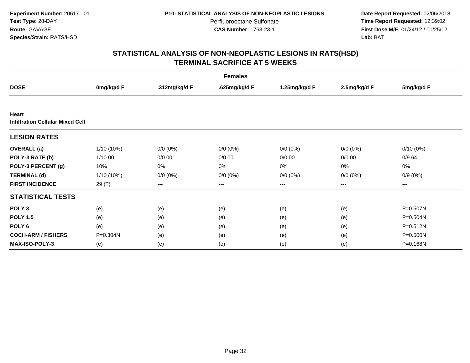**Date Report Requested:** 02/06/2018 **Time Report Requested:** 12:39:02 **First Dose M/F:** 01/24/12 / 01/25/12<br>**Lab:** BAT **Lab:** BAT

| <b>Females</b>                                   |            |               |               |               |              |              |  |  |
|--------------------------------------------------|------------|---------------|---------------|---------------|--------------|--------------|--|--|
| <b>DOSE</b>                                      | 0mg/kg/d F | .312mg/kg/d F | .625mg/kg/d F | 1.25mg/kg/d F | 2.5mg/kg/d F | 5mg/kg/d F   |  |  |
|                                                  |            |               |               |               |              |              |  |  |
| Heart<br><b>Infiltration Cellular Mixed Cell</b> |            |               |               |               |              |              |  |  |
| <b>LESION RATES</b>                              |            |               |               |               |              |              |  |  |
| <b>OVERALL</b> (a)                               | 1/10 (10%) | $0/0 (0\%)$   | $0/0 (0\%)$   | $0/0 (0\%)$   | $0/0 (0\%)$  | $0/10(0\%)$  |  |  |
| POLY-3 RATE (b)                                  | 1/10.00    | 0/0.00        | 0/0.00        | 0/0.00        | 0/0.00       | 0/9.64       |  |  |
| POLY-3 PERCENT (g)                               | 10%        | 0%            | 0%            | 0%            | 0%           | 0%           |  |  |
| <b>TERMINAL (d)</b>                              | 1/10 (10%) | $0/0 (0\%)$   | $0/0 (0\%)$   | $0/0 (0\%)$   | $0/0 (0\%)$  | $0/9(0\%)$   |  |  |
| <b>FIRST INCIDENCE</b>                           | 29 (T)     | $---$         | ---           | $---$         | $---$        | ---          |  |  |
| <b>STATISTICAL TESTS</b>                         |            |               |               |               |              |              |  |  |
| POLY <sub>3</sub>                                | (e)        | (e)           | (e)           | (e)           | (e)          | P=0.507N     |  |  |
| <b>POLY 1.5</b>                                  | (e)        | (e)           | (e)           | (e)           | (e)          | $P = 0.504N$ |  |  |
| POLY <sub>6</sub>                                | (e)        | (e)           | (e)           | (e)           | (e)          | P=0.512N     |  |  |
| <b>COCH-ARM / FISHERS</b>                        | P=0.304N   | (e)           | (e)           | (e)           | (e)          | $P = 0.500N$ |  |  |
| <b>MAX-ISO-POLY-3</b>                            | (e)        | (e)           | (e)           | (e)           | (e)          | P=0.168N     |  |  |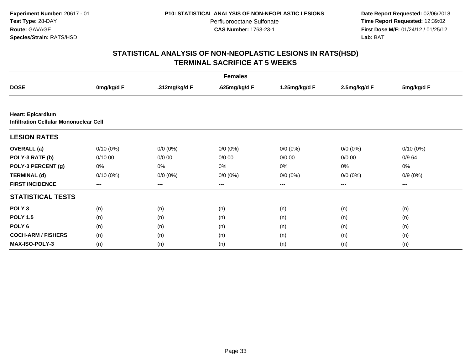**Date Report Requested:** 02/06/2018 **Time Report Requested:** 12:39:02 **First Dose M/F:** 01/24/12 / 01/25/12<br>**Lab:** BAT **Lab:** BAT

| <b>Females</b>                                                            |             |               |               |                   |              |             |  |  |
|---------------------------------------------------------------------------|-------------|---------------|---------------|-------------------|--------------|-------------|--|--|
| <b>DOSE</b>                                                               | 0mg/kg/d F  | .312mg/kg/d F | .625mg/kg/d F | 1.25mg/kg/d F     | 2.5mg/kg/d F | 5mg/kg/d F  |  |  |
|                                                                           |             |               |               |                   |              |             |  |  |
| <b>Heart: Epicardium</b><br><b>Infiltration Cellular Mononuclear Cell</b> |             |               |               |                   |              |             |  |  |
| <b>LESION RATES</b>                                                       |             |               |               |                   |              |             |  |  |
| <b>OVERALL</b> (a)                                                        | $0/10(0\%)$ | $0/0 (0\%)$   | $0/0 (0\%)$   | $0/0 (0\%)$       | $0/0 (0\%)$  | $0/10(0\%)$ |  |  |
| POLY-3 RATE (b)                                                           | 0/10.00     | 0/0.00        | 0/0.00        | 0/0.00            | 0/0.00       | 0/9.64      |  |  |
| POLY-3 PERCENT (g)                                                        | 0%          | 0%            | 0%            | 0%                | 0%           | 0%          |  |  |
| <b>TERMINAL (d)</b>                                                       | $0/10(0\%)$ | $0/0 (0\%)$   | $0/0 (0\%)$   | $0/0 (0\%)$       | $0/0 (0\%)$  | $0/9(0\%)$  |  |  |
| <b>FIRST INCIDENCE</b>                                                    | ---         | ---           | $--$          | $\qquad \qquad -$ | ---          | $--$        |  |  |
| <b>STATISTICAL TESTS</b>                                                  |             |               |               |                   |              |             |  |  |
| POLY <sub>3</sub>                                                         | (n)         | (n)           | (n)           | (n)               | (n)          | (n)         |  |  |
| <b>POLY 1.5</b>                                                           | (n)         | (n)           | (n)           | (n)               | (n)          | (n)         |  |  |
| POLY <sub>6</sub>                                                         | (n)         | (n)           | (n)           | (n)               | (n)          | (n)         |  |  |
| <b>COCH-ARM / FISHERS</b>                                                 | (n)         | (n)           | (n)           | (n)               | (n)          | (n)         |  |  |
| <b>MAX-ISO-POLY-3</b>                                                     | (n)         | (n)           | (n)           | (n)               | (n)          | (n)         |  |  |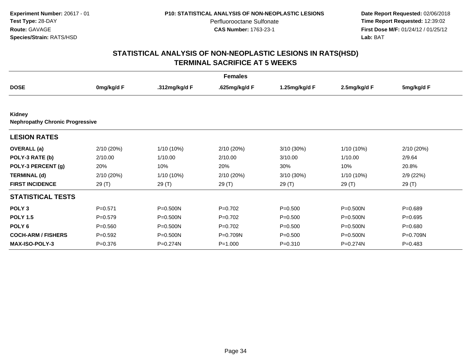**Date Report Requested:** 02/06/2018 **Time Report Requested:** 12:39:02 **First Dose M/F:** 01/24/12 / 01/25/12<br>**Lab:** BAT **Lab:** BAT

| <b>Females</b>                                   |             |               |               |               |              |             |  |  |
|--------------------------------------------------|-------------|---------------|---------------|---------------|--------------|-------------|--|--|
| <b>DOSE</b>                                      | 0mg/kg/d F  | .312mg/kg/d F | .625mg/kg/d F | 1.25mg/kg/d F | 2.5mg/kg/d F | 5mg/kg/d F  |  |  |
|                                                  |             |               |               |               |              |             |  |  |
| Kidney<br><b>Nephropathy Chronic Progressive</b> |             |               |               |               |              |             |  |  |
| <b>LESION RATES</b>                              |             |               |               |               |              |             |  |  |
| <b>OVERALL</b> (a)                               | 2/10 (20%)  | $1/10(10\%)$  | 2/10 (20%)    | $3/10(30\%)$  | 1/10 (10%)   | 2/10 (20%)  |  |  |
| POLY-3 RATE (b)                                  | 2/10.00     | 1/10.00       | 2/10.00       | 3/10.00       | 1/10.00      | 2/9.64      |  |  |
| POLY-3 PERCENT (g)                               | 20%         | 10%           | 20%           | 30%           | 10%          | 20.8%       |  |  |
| <b>TERMINAL (d)</b>                              | 2/10 (20%)  | $1/10(10\%)$  | 2/10 (20%)    | 3/10 (30%)    | 1/10 (10%)   | 2/9(22%)    |  |  |
| <b>FIRST INCIDENCE</b>                           | 29(T)       | 29 (T)        | 29 (T)        | 29 (T)        | 29(T)        | 29(T)       |  |  |
| <b>STATISTICAL TESTS</b>                         |             |               |               |               |              |             |  |  |
| POLY <sub>3</sub>                                | $P=0.571$   | $P = 0.500N$  | $P=0.702$     | $P = 0.500$   | $P = 0.500N$ | $P = 0.689$ |  |  |
| <b>POLY 1.5</b>                                  | $P=0.579$   | $P = 0.500N$  | $P=0.702$     | $P = 0.500$   | $P = 0.500N$ | $P=0.695$   |  |  |
| POLY <sub>6</sub>                                | $P = 0.560$ | P=0.500N      | $P=0.702$     | $P = 0.500$   | $P = 0.500N$ | $P = 0.680$ |  |  |
| <b>COCH-ARM / FISHERS</b>                        | $P=0.592$   | $P = 0.500N$  | P=0.709N      | $P = 0.500$   | $P = 0.500N$ | P=0.709N    |  |  |
| <b>MAX-ISO-POLY-3</b>                            | $P = 0.376$ | $P = 0.274N$  | $P = 1.000$   | $P = 0.310$   | P=0.274N     | $P=0.483$   |  |  |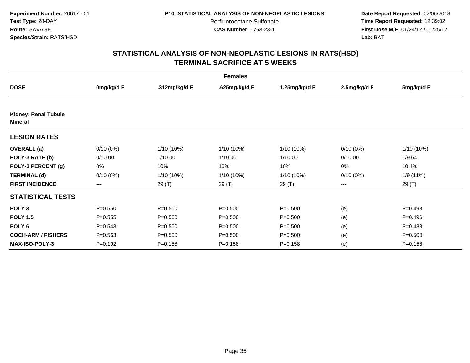**Date Report Requested:** 02/06/2018 **Time Report Requested:** 12:39:02 **First Dose M/F:** 01/24/12 / 01/25/12<br>**Lab:** BAT **Lab:** BAT

| <b>Females</b>                         |             |               |               |               |              |             |  |  |
|----------------------------------------|-------------|---------------|---------------|---------------|--------------|-------------|--|--|
| <b>DOSE</b>                            | 0mg/kg/d F  | .312mg/kg/d F | .625mg/kg/d F | 1.25mg/kg/d F | 2.5mg/kg/d F | 5mg/kg/d F  |  |  |
|                                        |             |               |               |               |              |             |  |  |
| Kidney: Renal Tubule<br><b>Mineral</b> |             |               |               |               |              |             |  |  |
| <b>LESION RATES</b>                    |             |               |               |               |              |             |  |  |
| <b>OVERALL</b> (a)                     | $0/10(0\%)$ | $1/10(10\%)$  | $1/10(10\%)$  | 1/10 (10%)    | $0/10(0\%)$  | 1/10 (10%)  |  |  |
| POLY-3 RATE (b)                        | 0/10.00     | 1/10.00       | 1/10.00       | 1/10.00       | 0/10.00      | 1/9.64      |  |  |
| POLY-3 PERCENT (g)                     | 0%          | 10%           | 10%           | 10%           | 0%           | 10.4%       |  |  |
| <b>TERMINAL (d)</b>                    | $0/10(0\%)$ | $1/10(10\%)$  | 1/10 (10%)    | 1/10 (10%)    | $0/10(0\%)$  | 1/9(11%)    |  |  |
| <b>FIRST INCIDENCE</b>                 | $--$        | 29(T)         | 29 (T)        | 29(T)         | ---          | 29(T)       |  |  |
| <b>STATISTICAL TESTS</b>               |             |               |               |               |              |             |  |  |
| POLY <sub>3</sub>                      | $P = 0.550$ | $P = 0.500$   | $P = 0.500$   | $P = 0.500$   | (e)          | $P=0.493$   |  |  |
| <b>POLY 1.5</b>                        | $P = 0.555$ | $P = 0.500$   | $P = 0.500$   | $P = 0.500$   | (e)          | $P=0.496$   |  |  |
| POLY <sub>6</sub>                      | $P = 0.543$ | $P = 0.500$   | $P = 0.500$   | $P = 0.500$   | (e)          | $P=0.488$   |  |  |
| <b>COCH-ARM / FISHERS</b>              | $P = 0.563$ | $P = 0.500$   | $P = 0.500$   | $P = 0.500$   | (e)          | $P = 0.500$ |  |  |
| <b>MAX-ISO-POLY-3</b>                  | $P = 0.192$ | $P = 0.158$   | $P = 0.158$   | $P = 0.158$   | (e)          | $P = 0.158$ |  |  |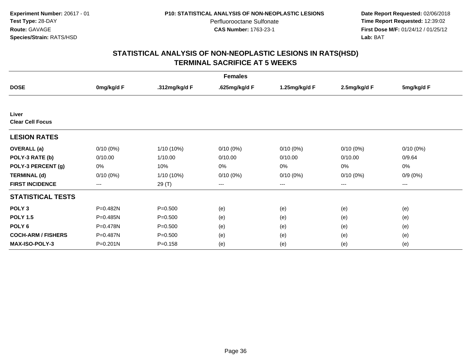**Date Report Requested:** 02/06/2018 **Time Report Requested:** 12:39:02 **First Dose M/F:** 01/24/12 / 01/25/12<br>**Lab:** BAT **Lab:** BAT

| <b>Females</b>                   |              |               |               |               |              |             |  |  |
|----------------------------------|--------------|---------------|---------------|---------------|--------------|-------------|--|--|
| <b>DOSE</b>                      | 0mg/kg/d F   | .312mg/kg/d F | .625mg/kg/d F | 1.25mg/kg/d F | 2.5mg/kg/d F | 5mg/kg/d F  |  |  |
|                                  |              |               |               |               |              |             |  |  |
| Liver<br><b>Clear Cell Focus</b> |              |               |               |               |              |             |  |  |
| <b>LESION RATES</b>              |              |               |               |               |              |             |  |  |
| <b>OVERALL</b> (a)               | $0/10(0\%)$  | $1/10(10\%)$  | $0/10(0\%)$   | $0/10(0\%)$   | $0/10(0\%)$  | $0/10(0\%)$ |  |  |
| POLY-3 RATE (b)                  | 0/10.00      | 1/10.00       | 0/10.00       | 0/10.00       | 0/10.00      | 0/9.64      |  |  |
| POLY-3 PERCENT (g)               | 0%           | 10%           | 0%            | 0%            | 0%           | 0%          |  |  |
| <b>TERMINAL (d)</b>              | $0/10(0\%)$  | $1/10(10\%)$  | $0/10(0\%)$   | $0/10(0\%)$   | $0/10(0\%)$  | $0/9(0\%)$  |  |  |
| <b>FIRST INCIDENCE</b>           | ---          | 29 (T)        | ---           | ---           | ---          | ---         |  |  |
| <b>STATISTICAL TESTS</b>         |              |               |               |               |              |             |  |  |
| POLY <sub>3</sub>                | P=0.482N     | $P = 0.500$   | (e)           | (e)           | (e)          | (e)         |  |  |
| <b>POLY 1.5</b>                  | P=0.485N     | $P = 0.500$   | (e)           | (e)           | (e)          | (e)         |  |  |
| POLY <sub>6</sub>                | P=0.478N     | $P = 0.500$   | (e)           | (e)           | (e)          | (e)         |  |  |
| <b>COCH-ARM / FISHERS</b>        | P=0.487N     | $P = 0.500$   | (e)           | (e)           | (e)          | (e)         |  |  |
| <b>MAX-ISO-POLY-3</b>            | $P = 0.201N$ | $P = 0.158$   | (e)           | (e)           | (e)          | (e)         |  |  |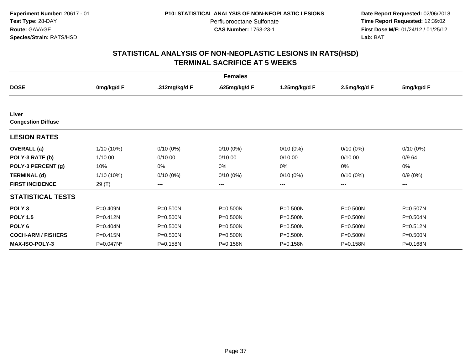**Date Report Requested:** 02/06/2018 **Time Report Requested:** 12:39:02 **First Dose M/F:** 01/24/12 / 01/25/12<br>**Lab:** BAT **Lab:** BAT

| <b>Females</b>                     |            |               |               |               |              |              |  |  |
|------------------------------------|------------|---------------|---------------|---------------|--------------|--------------|--|--|
| <b>DOSE</b>                        | 0mg/kg/d F | .312mg/kg/d F | .625mg/kg/d F | 1.25mg/kg/d F | 2.5mg/kg/d F | 5mg/kg/d F   |  |  |
|                                    |            |               |               |               |              |              |  |  |
| Liver<br><b>Congestion Diffuse</b> |            |               |               |               |              |              |  |  |
| <b>LESION RATES</b>                |            |               |               |               |              |              |  |  |
| <b>OVERALL</b> (a)                 | 1/10 (10%) | $0/10(0\%)$   | $0/10(0\%)$   | $0/10(0\%)$   | $0/10(0\%)$  | $0/10(0\%)$  |  |  |
| POLY-3 RATE (b)                    | 1/10.00    | 0/10.00       | 0/10.00       | 0/10.00       | 0/10.00      | 0/9.64       |  |  |
| POLY-3 PERCENT (g)                 | 10%        | 0%            | 0%            | $0\%$         | 0%           | 0%           |  |  |
| <b>TERMINAL (d)</b>                | 1/10 (10%) | $0/10(0\%)$   | $0/10(0\%)$   | $0/10(0\%)$   | $0/10(0\%)$  | $0/9(0\%)$   |  |  |
| <b>FIRST INCIDENCE</b>             | 29 (T)     | $---$         | ---           | ---           | ---          | ---          |  |  |
| <b>STATISTICAL TESTS</b>           |            |               |               |               |              |              |  |  |
| POLY <sub>3</sub>                  | P=0.409N   | P=0.500N      | $P = 0.500N$  | $P = 0.500N$  | $P = 0.500N$ | P=0.507N     |  |  |
| <b>POLY 1.5</b>                    | P=0.412N   | $P = 0.500N$  | P=0.500N      | P=0.500N      | $P = 0.500N$ | P=0.504N     |  |  |
| POLY <sub>6</sub>                  | P=0.404N   | $P = 0.500N$  | $P = 0.500N$  | $P = 0.500N$  | $P = 0.500N$ | $P = 0.512N$ |  |  |
| <b>COCH-ARM / FISHERS</b>          | P=0.415N   | $P = 0.500N$  | $P = 0.500N$  | P=0.500N      | $P = 0.500N$ | $P = 0.500N$ |  |  |
| MAX-ISO-POLY-3                     | P=0.047N*  | P=0.158N      | P=0.158N      | P=0.158N      | P=0.158N     | P=0.168N     |  |  |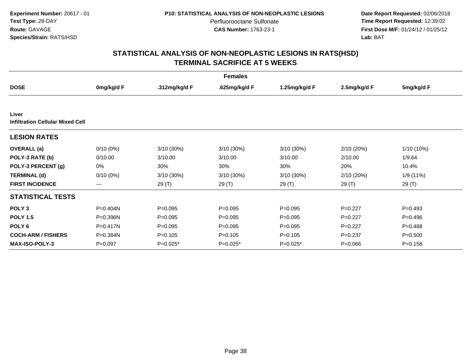**Date Report Requested:** 02/06/2018 **Time Report Requested:** 12:39:02 **First Dose M/F:** 01/24/12 / 01/25/12<br>**Lab:** BAT **Lab:** BAT

| <b>Females</b>                                   |              |               |               |               |              |             |  |  |
|--------------------------------------------------|--------------|---------------|---------------|---------------|--------------|-------------|--|--|
| <b>DOSE</b>                                      | 0mg/kg/d F   | .312mg/kg/d F | .625mg/kg/d F | 1.25mg/kg/d F | 2.5mg/kg/d F | 5mg/kg/d F  |  |  |
|                                                  |              |               |               |               |              |             |  |  |
| Liver<br><b>Infiltration Cellular Mixed Cell</b> |              |               |               |               |              |             |  |  |
| <b>LESION RATES</b>                              |              |               |               |               |              |             |  |  |
| <b>OVERALL</b> (a)                               | $0/10(0\%)$  | $3/10(30\%)$  | 3/10 (30%)    | $3/10(30\%)$  | 2/10 (20%)   | 1/10 (10%)  |  |  |
| POLY-3 RATE (b)                                  | 0/10.00      | 3/10.00       | 3/10.00       | 3/10.00       | 2/10.00      | 1/9.64      |  |  |
| POLY-3 PERCENT (g)                               | 0%           | 30%           | 30%           | 30%           | 20%          | 10.4%       |  |  |
| <b>TERMINAL (d)</b>                              | $0/10(0\%)$  | $3/10(30\%)$  | 3/10 (30%)    | 3/10 (30%)    | 2/10 (20%)   | 1/9(11%)    |  |  |
| <b>FIRST INCIDENCE</b>                           | ---          | 29 (T)        | 29 (T)        | 29 (T)        | 29 (T)       | 29 (T)      |  |  |
| <b>STATISTICAL TESTS</b>                         |              |               |               |               |              |             |  |  |
| POLY <sub>3</sub>                                | P=0.404N     | $P = 0.095$   | $P = 0.095$   | $P=0.095$     | $P=0.227$    | $P=0.493$   |  |  |
| <b>POLY 1.5</b>                                  | P=0.396N     | $P = 0.095$   | $P=0.095$     | $P=0.095$     | $P=0.227$    | $P=0.496$   |  |  |
| POLY <sub>6</sub>                                | $P = 0.417N$ | $P = 0.095$   | $P=0.095$     | $P=0.095$     | $P=0.227$    | $P=0.488$   |  |  |
| <b>COCH-ARM / FISHERS</b>                        | P=0.384N     | $P = 0.105$   | $P = 0.105$   | $P = 0.105$   | $P=0.237$    | $P = 0.500$ |  |  |
| <b>MAX-ISO-POLY-3</b>                            | $P = 0.097$  | $P=0.025*$    | P=0.025*      | $P=0.025*$    | $P = 0.066$  | $P = 0.158$ |  |  |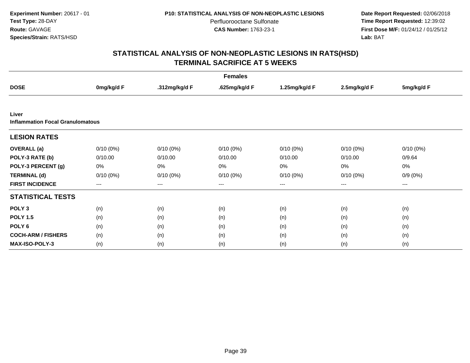**Date Report Requested:** 02/06/2018 **Time Report Requested:** 12:39:02 **First Dose M/F:** 01/24/12 / 01/25/12<br>**Lab:** BAT **Lab:** BAT

| <b>Females</b>                          |             |               |               |               |              |             |  |  |
|-----------------------------------------|-------------|---------------|---------------|---------------|--------------|-------------|--|--|
| <b>DOSE</b>                             | 0mg/kg/d F  | .312mg/kg/d F | .625mg/kg/d F | 1.25mg/kg/d F | 2.5mg/kg/d F | 5mg/kg/d F  |  |  |
|                                         |             |               |               |               |              |             |  |  |
| Liver                                   |             |               |               |               |              |             |  |  |
| <b>Inflammation Focal Granulomatous</b> |             |               |               |               |              |             |  |  |
| <b>LESION RATES</b>                     |             |               |               |               |              |             |  |  |
| <b>OVERALL</b> (a)                      | $0/10(0\%)$ | $0/10(0\%)$   | $0/10(0\%)$   | $0/10(0\%)$   | $0/10(0\%)$  | $0/10(0\%)$ |  |  |
| POLY-3 RATE (b)                         | 0/10.00     | 0/10.00       | 0/10.00       | 0/10.00       | 0/10.00      | 0/9.64      |  |  |
| POLY-3 PERCENT (g)                      | 0%          | 0%            | 0%            | 0%            | 0%           | 0%          |  |  |
| <b>TERMINAL (d)</b>                     | $0/10(0\%)$ | $0/10(0\%)$   | $0/10(0\%)$   | $0/10(0\%)$   | $0/10(0\%)$  | $0/9(0\%)$  |  |  |
| <b>FIRST INCIDENCE</b>                  | $---$       | $---$         | $---$         | ---           | ---          | $---$       |  |  |
| <b>STATISTICAL TESTS</b>                |             |               |               |               |              |             |  |  |
| POLY <sub>3</sub>                       | (n)         | (n)           | (n)           | (n)           | (n)          | (n)         |  |  |
| <b>POLY 1.5</b>                         | (n)         | (n)           | (n)           | (n)           | (n)          | (n)         |  |  |
| POLY <sub>6</sub>                       | (n)         | (n)           | (n)           | (n)           | (n)          | (n)         |  |  |
| <b>COCH-ARM / FISHERS</b>               | (n)         | (n)           | (n)           | (n)           | (n)          | (n)         |  |  |
| <b>MAX-ISO-POLY-3</b>                   | (n)         | (n)           | (n)           | (n)           | (n)          | (n)         |  |  |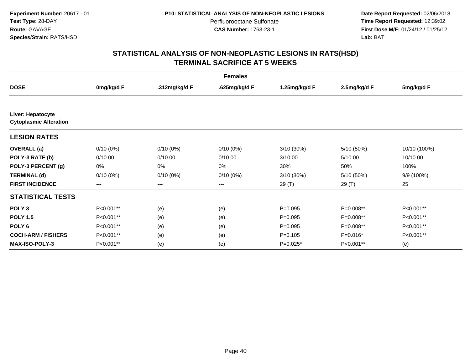**Date Report Requested:** 02/06/2018 **Time Report Requested:** 12:39:02 **First Dose M/F:** 01/24/12 / 01/25/12<br>**Lab:** BAT **Lab:** BAT

|                                                    | <b>Females</b>         |               |               |               |              |              |  |  |  |
|----------------------------------------------------|------------------------|---------------|---------------|---------------|--------------|--------------|--|--|--|
| <b>DOSE</b>                                        | 0mg/kg/d F             | .312mg/kg/d F | .625mg/kg/d F | 1.25mg/kg/d F | 2.5mg/kg/d F | 5mg/kg/d F   |  |  |  |
|                                                    |                        |               |               |               |              |              |  |  |  |
| Liver: Hepatocyte<br><b>Cytoplasmic Alteration</b> |                        |               |               |               |              |              |  |  |  |
| <b>LESION RATES</b>                                |                        |               |               |               |              |              |  |  |  |
| <b>OVERALL</b> (a)                                 | $0/10(0\%)$            | $0/10(0\%)$   | $0/10(0\%)$   | $3/10(30\%)$  | 5/10 (50%)   | 10/10 (100%) |  |  |  |
| POLY-3 RATE (b)                                    | 0/10.00                | 0/10.00       | 0/10.00       | 3/10.00       | 5/10.00      | 10/10.00     |  |  |  |
| POLY-3 PERCENT (g)                                 | 0%                     | 0%            | 0%            | 30%           | 50%          | 100%         |  |  |  |
| <b>TERMINAL (d)</b>                                | $0/10(0\%)$            | $0/10(0\%)$   | $0/10(0\%)$   | 3/10 (30%)    | 5/10(50%)    | 9/9 (100%)   |  |  |  |
| <b>FIRST INCIDENCE</b>                             | $\qquad \qquad \cdots$ | $---$         | $---$         | 29 (T)        | 29 (T)       | 25           |  |  |  |
| <b>STATISTICAL TESTS</b>                           |                        |               |               |               |              |              |  |  |  |
| POLY <sub>3</sub>                                  | P<0.001**              | (e)           | (e)           | $P=0.095$     | P=0.008**    | P<0.001**    |  |  |  |
| <b>POLY 1.5</b>                                    | P<0.001**              | (e)           | (e)           | $P = 0.095$   | P=0.008**    | P<0.001**    |  |  |  |
| POLY <sub>6</sub>                                  | P<0.001**              | (e)           | (e)           | $P=0.095$     | P=0.008**    | P<0.001**    |  |  |  |
| <b>COCH-ARM / FISHERS</b>                          | P<0.001**              | (e)           | (e)           | $P = 0.105$   | P=0.016*     | P<0.001**    |  |  |  |
| <b>MAX-ISO-POLY-3</b>                              | P<0.001**              | (e)           | (e)           | $P=0.025*$    | P<0.001**    | (e)          |  |  |  |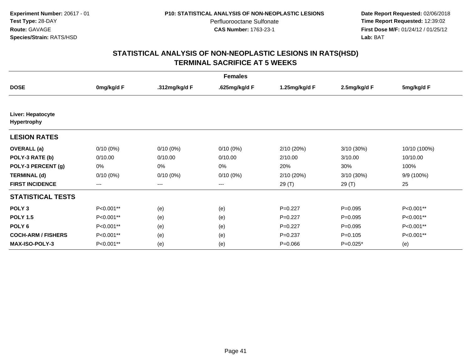**Date Report Requested:** 02/06/2018 **Time Report Requested:** 12:39:02 **First Dose M/F:** 01/24/12 / 01/25/12<br>**Lab:** BAT **Lab:** BAT

| <b>Females</b>                   |             |               |               |               |              |              |  |  |
|----------------------------------|-------------|---------------|---------------|---------------|--------------|--------------|--|--|
| <b>DOSE</b>                      | 0mg/kg/d F  | .312mg/kg/d F | .625mg/kg/d F | 1.25mg/kg/d F | 2.5mg/kg/d F | 5mg/kg/d F   |  |  |
| Liver: Hepatocyte<br>Hypertrophy |             |               |               |               |              |              |  |  |
| <b>LESION RATES</b>              |             |               |               |               |              |              |  |  |
| <b>OVERALL</b> (a)               | $0/10(0\%)$ | $0/10(0\%)$   | $0/10(0\%)$   | 2/10 (20%)    | 3/10 (30%)   | 10/10 (100%) |  |  |
| POLY-3 RATE (b)                  | 0/10.00     | 0/10.00       | 0/10.00       | 2/10.00       | 3/10.00      | 10/10.00     |  |  |
| POLY-3 PERCENT (g)               | 0%          | 0%            | 0%            | 20%           | 30%          | 100%         |  |  |
| <b>TERMINAL (d)</b>              | $0/10(0\%)$ | $0/10(0\%)$   | $0/10(0\%)$   | 2/10 (20%)    | 3/10 (30%)   | 9/9 (100%)   |  |  |
| <b>FIRST INCIDENCE</b>           | ---         | $--$          | $--$          | 29 (T)        | 29 (T)       | 25           |  |  |
| <b>STATISTICAL TESTS</b>         |             |               |               |               |              |              |  |  |
| POLY <sub>3</sub>                | P<0.001**   | (e)           | (e)           | $P=0.227$     | $P=0.095$    | P<0.001**    |  |  |
| <b>POLY 1.5</b>                  | P<0.001**   | (e)           | (e)           | $P=0.227$     | $P=0.095$    | P<0.001**    |  |  |
| POLY <sub>6</sub>                | P<0.001**   | (e)           | (e)           | $P=0.227$     | $P = 0.095$  | P<0.001**    |  |  |
| <b>COCH-ARM / FISHERS</b>        | P<0.001**   | (e)           | (e)           | $P=0.237$     | $P=0.105$    | P<0.001**    |  |  |
| <b>MAX-ISO-POLY-3</b>            | P<0.001**   | (e)           | (e)           | $P = 0.066$   | $P=0.025*$   | (e)          |  |  |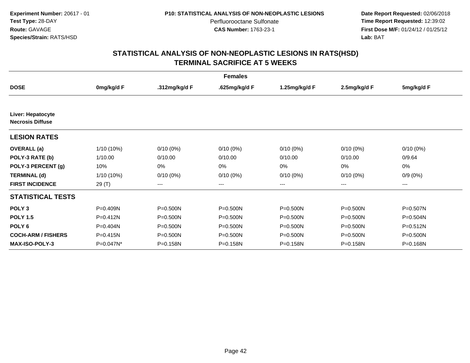**Date Report Requested:** 02/06/2018 **Time Report Requested:** 12:39:02 **First Dose M/F:** 01/24/12 / 01/25/12<br>**Lab:** BAT **Lab:** BAT

| <b>Females</b>                               |              |               |               |               |              |              |  |  |
|----------------------------------------------|--------------|---------------|---------------|---------------|--------------|--------------|--|--|
| <b>DOSE</b>                                  | 0mg/kg/d F   | .312mg/kg/d F | .625mg/kg/d F | 1.25mg/kg/d F | 2.5mg/kg/d F | 5mg/kg/d F   |  |  |
|                                              |              |               |               |               |              |              |  |  |
| Liver: Hepatocyte<br><b>Necrosis Diffuse</b> |              |               |               |               |              |              |  |  |
| <b>LESION RATES</b>                          |              |               |               |               |              |              |  |  |
| <b>OVERALL</b> (a)                           | $1/10(10\%)$ | $0/10(0\%)$   | $0/10(0\%)$   | $0/10(0\%)$   | $0/10(0\%)$  | $0/10(0\%)$  |  |  |
| POLY-3 RATE (b)                              | 1/10.00      | 0/10.00       | 0/10.00       | 0/10.00       | 0/10.00      | 0/9.64       |  |  |
| POLY-3 PERCENT (g)                           | 10%          | 0%            | $0\%$         | 0%            | 0%           | 0%           |  |  |
| <b>TERMINAL (d)</b>                          | 1/10 (10%)   | $0/10(0\%)$   | $0/10(0\%)$   | $0/10(0\%)$   | 0/10(0%)     | $0/9(0\%)$   |  |  |
| <b>FIRST INCIDENCE</b>                       | 29 (T)       | $--$          | ---           | ---           | ---          | ---          |  |  |
| <b>STATISTICAL TESTS</b>                     |              |               |               |               |              |              |  |  |
| POLY <sub>3</sub>                            | P=0.409N     | P=0.500N      | $P = 0.500N$  | $P = 0.500N$  | P=0.500N     | P=0.507N     |  |  |
| <b>POLY 1.5</b>                              | $P = 0.412N$ | P=0.500N      | $P = 0.500N$  | $P = 0.500N$  | $P = 0.500N$ | P=0.504N     |  |  |
| POLY <sub>6</sub>                            | P=0.404N     | P=0.500N      | $P = 0.500N$  | $P = 0.500N$  | $P = 0.500N$ | $P = 0.512N$ |  |  |
| <b>COCH-ARM / FISHERS</b>                    | P=0.415N     | P=0.500N      | $P = 0.500N$  | $P = 0.500N$  | $P = 0.500N$ | $P = 0.500N$ |  |  |
| <b>MAX-ISO-POLY-3</b>                        | P=0.047N*    | P=0.158N      | P=0.158N      | P=0.158N      | P=0.158N     | P=0.168N     |  |  |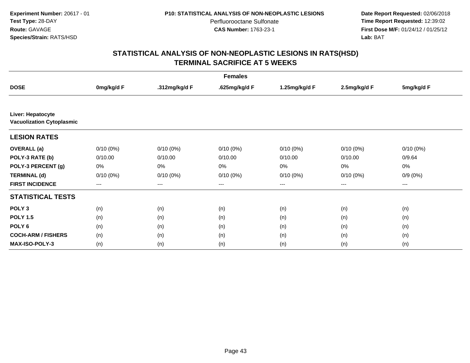**Date Report Requested:** 02/06/2018 **Time Report Requested:** 12:39:02 **First Dose M/F:** 01/24/12 / 01/25/12<br>**Lab:** BAT **Lab:** BAT

|                                                       | <b>Females</b>    |               |               |                   |              |             |  |  |  |
|-------------------------------------------------------|-------------------|---------------|---------------|-------------------|--------------|-------------|--|--|--|
| <b>DOSE</b>                                           | 0mg/kg/d F        | .312mg/kg/d F | .625mg/kg/d F | 1.25mg/kg/d F     | 2.5mg/kg/d F | 5mg/kg/d F  |  |  |  |
|                                                       |                   |               |               |                   |              |             |  |  |  |
| Liver: Hepatocyte<br><b>Vacuolization Cytoplasmic</b> |                   |               |               |                   |              |             |  |  |  |
| <b>LESION RATES</b>                                   |                   |               |               |                   |              |             |  |  |  |
| <b>OVERALL</b> (a)                                    | $0/10(0\%)$       | $0/10(0\%)$   | $0/10(0\%)$   | $0/10(0\%)$       | $0/10(0\%)$  | $0/10(0\%)$ |  |  |  |
| POLY-3 RATE (b)                                       | 0/10.00           | 0/10.00       | 0/10.00       | 0/10.00           | 0/10.00      | 0/9.64      |  |  |  |
| POLY-3 PERCENT (g)                                    | 0%                | 0%            | 0%            | 0%                | 0%           | 0%          |  |  |  |
| <b>TERMINAL (d)</b>                                   | $0/10(0\%)$       | $0/10(0\%)$   | $0/10(0\%)$   | $0/10(0\%)$       | $0/10(0\%)$  | $0/9(0\%)$  |  |  |  |
| <b>FIRST INCIDENCE</b>                                | $\qquad \qquad -$ | ---           | ---           | $\qquad \qquad -$ | $---$        | ---         |  |  |  |
| <b>STATISTICAL TESTS</b>                              |                   |               |               |                   |              |             |  |  |  |
| POLY <sub>3</sub>                                     | (n)               | (n)           | (n)           | (n)               | (n)          | (n)         |  |  |  |
| <b>POLY 1.5</b>                                       | (n)               | (n)           | (n)           | (n)               | (n)          | (n)         |  |  |  |
| POLY <sub>6</sub>                                     | (n)               | (n)           | (n)           | (n)               | (n)          | (n)         |  |  |  |
| <b>COCH-ARM / FISHERS</b>                             | (n)               | (n)           | (n)           | (n)               | (n)          | (n)         |  |  |  |
| <b>MAX-ISO-POLY-3</b>                                 | (n)               | (n)           | (n)           | (n)               | (n)          | (n)         |  |  |  |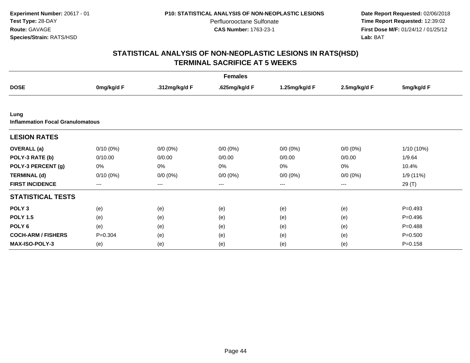**Date Report Requested:** 02/06/2018 **Time Report Requested:** 12:39:02 **First Dose M/F:** 01/24/12 / 01/25/12<br>**Lab:** BAT **Lab:** BAT

| <b>Females</b>                                  |             |               |               |                   |              |             |  |  |
|-------------------------------------------------|-------------|---------------|---------------|-------------------|--------------|-------------|--|--|
| <b>DOSE</b>                                     | 0mg/kg/d F  | .312mg/kg/d F | .625mg/kg/d F | 1.25mg/kg/d F     | 2.5mg/kg/d F | 5mg/kg/d F  |  |  |
|                                                 |             |               |               |                   |              |             |  |  |
| Lung<br><b>Inflammation Focal Granulomatous</b> |             |               |               |                   |              |             |  |  |
| <b>LESION RATES</b>                             |             |               |               |                   |              |             |  |  |
| <b>OVERALL</b> (a)                              | $0/10(0\%)$ | $0/0 (0\%)$   | $0/0 (0\%)$   | $0/0 (0\%)$       | $0/0 (0\%)$  | 1/10 (10%)  |  |  |
| POLY-3 RATE (b)                                 | 0/10.00     | 0/0.00        | 0/0.00        | 0/0.00            | 0/0.00       | 1/9.64      |  |  |
| POLY-3 PERCENT (g)                              | 0%          | 0%            | 0%            | 0%                | 0%           | 10.4%       |  |  |
| <b>TERMINAL (d)</b>                             | $0/10(0\%)$ | $0/0 (0\%)$   | $0/0 (0\%)$   | $0/0 (0\%)$       | $0/0 (0\%)$  | 1/9 (11%)   |  |  |
| <b>FIRST INCIDENCE</b>                          | $---$       | $\cdots$      | $---$         | $\qquad \qquad -$ | $\cdots$     | 29 (T)      |  |  |
| <b>STATISTICAL TESTS</b>                        |             |               |               |                   |              |             |  |  |
| POLY <sub>3</sub>                               | (e)         | (e)           | (e)           | (e)               | (e)          | $P=0.493$   |  |  |
| <b>POLY 1.5</b>                                 | (e)         | (e)           | (e)           | (e)               | (e)          | $P=0.496$   |  |  |
| POLY <sub>6</sub>                               | (e)         | (e)           | (e)           | (e)               | (e)          | $P=0.488$   |  |  |
| <b>COCH-ARM / FISHERS</b>                       | $P = 0.304$ | (e)           | (e)           | (e)               | (e)          | $P = 0.500$ |  |  |
| <b>MAX-ISO-POLY-3</b>                           | (e)         | (e)           | (e)           | (e)               | (e)          | $P = 0.158$ |  |  |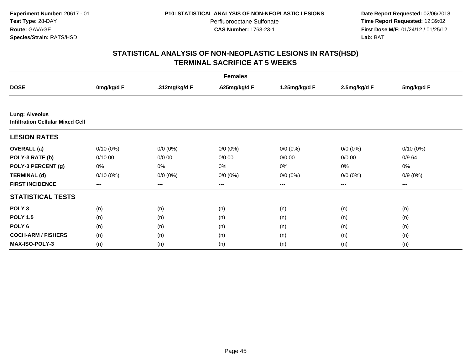**Date Report Requested:** 02/06/2018 **Time Report Requested:** 12:39:02 **First Dose M/F:** 01/24/12 / 01/25/12<br>**Lab:** BAT **Lab:** BAT

|                                                                  | <b>Females</b>         |               |               |                        |              |             |  |  |  |
|------------------------------------------------------------------|------------------------|---------------|---------------|------------------------|--------------|-------------|--|--|--|
| <b>DOSE</b>                                                      | 0mg/kg/d F             | .312mg/kg/d F | .625mg/kg/d F | 1.25mg/kg/d F          | 2.5mg/kg/d F | 5mg/kg/d F  |  |  |  |
|                                                                  |                        |               |               |                        |              |             |  |  |  |
| <b>Lung: Alveolus</b><br><b>Infiltration Cellular Mixed Cell</b> |                        |               |               |                        |              |             |  |  |  |
| <b>LESION RATES</b>                                              |                        |               |               |                        |              |             |  |  |  |
| <b>OVERALL</b> (a)                                               | $0/10(0\%)$            | $0/0 (0\%)$   | $0/0 (0\%)$   | $0/0 (0\%)$            | $0/0 (0\%)$  | $0/10(0\%)$ |  |  |  |
| POLY-3 RATE (b)                                                  | 0/10.00                | 0/0.00        | 0/0.00        | 0/0.00                 | 0/0.00       | 0/9.64      |  |  |  |
| POLY-3 PERCENT (g)                                               | 0%                     | 0%            | 0%            | 0%                     | 0%           | 0%          |  |  |  |
| <b>TERMINAL (d)</b>                                              | $0/10(0\%)$            | $0/0 (0\%)$   | $0/0 (0\%)$   | $0/0 (0\%)$            | $0/0 (0\%)$  | $0/9(0\%)$  |  |  |  |
| <b>FIRST INCIDENCE</b>                                           | $\qquad \qquad \cdots$ | $---$         | ---           | $\qquad \qquad \cdots$ | ---          | $--$        |  |  |  |
| <b>STATISTICAL TESTS</b>                                         |                        |               |               |                        |              |             |  |  |  |
| POLY <sub>3</sub>                                                | (n)                    | (n)           | (n)           | (n)                    | (n)          | (n)         |  |  |  |
| <b>POLY 1.5</b>                                                  | (n)                    | (n)           | (n)           | (n)                    | (n)          | (n)         |  |  |  |
| POLY <sub>6</sub>                                                | (n)                    | (n)           | (n)           | (n)                    | (n)          | (n)         |  |  |  |
| <b>COCH-ARM / FISHERS</b>                                        | (n)                    | (n)           | (n)           | (n)                    | (n)          | (n)         |  |  |  |
| <b>MAX-ISO-POLY-3</b>                                            | (n)                    | (n)           | (n)           | (n)                    | (n)          | (n)         |  |  |  |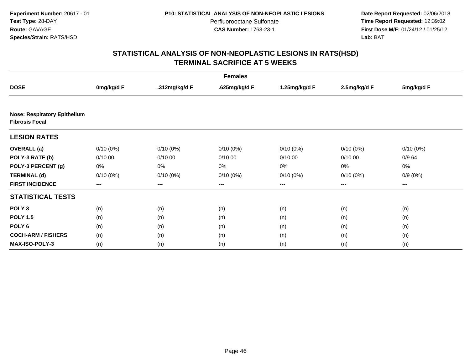**Date Report Requested:** 02/06/2018 **Time Report Requested:** 12:39:02 **First Dose M/F:** 01/24/12 / 01/25/12<br>**Lab:** BAT **Lab:** BAT

| <b>Females</b>                                               |             |               |                   |                   |              |             |  |  |
|--------------------------------------------------------------|-------------|---------------|-------------------|-------------------|--------------|-------------|--|--|
| <b>DOSE</b>                                                  | 0mg/kg/d F  | .312mg/kg/d F | .625mg/kg/d F     | 1.25mg/kg/d F     | 2.5mg/kg/d F | 5mg/kg/d F  |  |  |
|                                                              |             |               |                   |                   |              |             |  |  |
| <b>Nose: Respiratory Epithelium</b><br><b>Fibrosis Focal</b> |             |               |                   |                   |              |             |  |  |
| <b>LESION RATES</b>                                          |             |               |                   |                   |              |             |  |  |
| <b>OVERALL</b> (a)                                           | $0/10(0\%)$ | $0/10(0\%)$   | $0/10(0\%)$       | $0/10(0\%)$       | $0/10(0\%)$  | $0/10(0\%)$ |  |  |
| POLY-3 RATE (b)                                              | 0/10.00     | 0/10.00       | 0/10.00           | 0/10.00           | 0/10.00      | 0/9.64      |  |  |
| POLY-3 PERCENT (g)                                           | 0%          | 0%            | 0%                | 0%                | 0%           | 0%          |  |  |
| <b>TERMINAL (d)</b>                                          | $0/10(0\%)$ | $0/10(0\%)$   | $0/10(0\%)$       | 0/10(0%)          | $0/10(0\%)$  | $0/9(0\%)$  |  |  |
| <b>FIRST INCIDENCE</b>                                       | ---         | ---           | $\qquad \qquad -$ | $\qquad \qquad -$ | ---          | $--$        |  |  |
| <b>STATISTICAL TESTS</b>                                     |             |               |                   |                   |              |             |  |  |
| POLY <sub>3</sub>                                            | (n)         | (n)           | (n)               | (n)               | (n)          | (n)         |  |  |
| <b>POLY 1.5</b>                                              | (n)         | (n)           | (n)               | (n)               | (n)          | (n)         |  |  |
| POLY <sub>6</sub>                                            | (n)         | (n)           | (n)               | (n)               | (n)          | (n)         |  |  |
| <b>COCH-ARM / FISHERS</b>                                    | (n)         | (n)           | (n)               | (n)               | (n)          | (n)         |  |  |
| MAX-ISO-POLY-3                                               | (n)         | (n)           | (n)               | (n)               | (n)          | (n)         |  |  |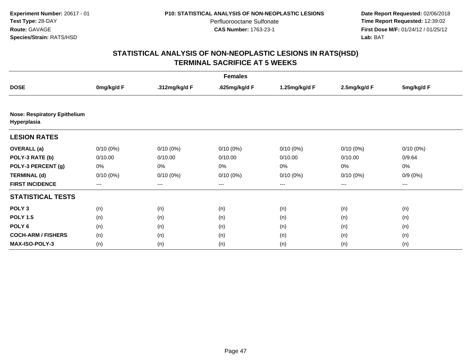**Date Report Requested:** 02/06/2018 **Time Report Requested:** 12:39:02 **First Dose M/F:** 01/24/12 / 01/25/12<br>**Lab:** BAT **Lab:** BAT

| <b>Females</b>                                     |             |               |               |               |              |             |  |  |
|----------------------------------------------------|-------------|---------------|---------------|---------------|--------------|-------------|--|--|
| <b>DOSE</b>                                        | 0mg/kg/d F  | .312mg/kg/d F | .625mg/kg/d F | 1.25mg/kg/d F | 2.5mg/kg/d F | 5mg/kg/d F  |  |  |
|                                                    |             |               |               |               |              |             |  |  |
| <b>Nose: Respiratory Epithelium</b><br>Hyperplasia |             |               |               |               |              |             |  |  |
| <b>LESION RATES</b>                                |             |               |               |               |              |             |  |  |
| <b>OVERALL</b> (a)                                 | $0/10(0\%)$ | $0/10(0\%)$   | $0/10(0\%)$   | $0/10(0\%)$   | $0/10(0\%)$  | $0/10(0\%)$ |  |  |
| POLY-3 RATE (b)                                    | 0/10.00     | 0/10.00       | 0/10.00       | 0/10.00       | 0/10.00      | 0/9.64      |  |  |
| POLY-3 PERCENT (g)                                 | 0%          | 0%            | 0%            | 0%            | 0%           | 0%          |  |  |
| <b>TERMINAL (d)</b>                                | $0/10(0\%)$ | $0/10(0\%)$   | $0/10(0\%)$   | $0/10(0\%)$   | $0/10(0\%)$  | $0/9(0\%)$  |  |  |
| <b>FIRST INCIDENCE</b>                             | $---$       | $\cdots$      | ---           | $---$         | $\cdots$     | ---         |  |  |
| <b>STATISTICAL TESTS</b>                           |             |               |               |               |              |             |  |  |
| POLY <sub>3</sub>                                  | (n)         | (n)           | (n)           | (n)           | (n)          | (n)         |  |  |
| <b>POLY 1.5</b>                                    | (n)         | (n)           | (n)           | (n)           | (n)          | (n)         |  |  |
| POLY <sub>6</sub>                                  | (n)         | (n)           | (n)           | (n)           | (n)          | (n)         |  |  |
| <b>COCH-ARM / FISHERS</b>                          | (n)         | (n)           | (n)           | (n)           | (n)          | (n)         |  |  |
| <b>MAX-ISO-POLY-3</b>                              | (n)         | (n)           | (n)           | (n)           | (n)          | (n)         |  |  |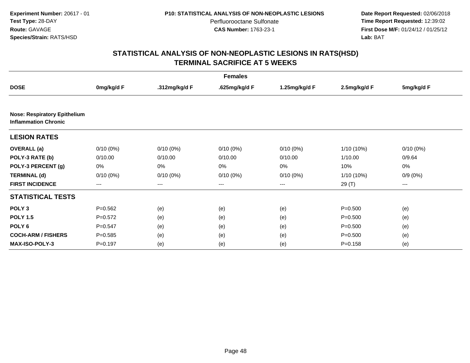**Date Report Requested:** 02/06/2018 **Time Report Requested:** 12:39:02 **First Dose M/F:** 01/24/12 / 01/25/12<br>**Lab:** BAT **Lab:** BAT

| <b>Females</b>                                                     |             |               |               |               |              |             |  |  |
|--------------------------------------------------------------------|-------------|---------------|---------------|---------------|--------------|-------------|--|--|
| <b>DOSE</b>                                                        | 0mg/kg/d F  | .312mg/kg/d F | .625mg/kg/d F | 1.25mg/kg/d F | 2.5mg/kg/d F | 5mg/kg/d F  |  |  |
|                                                                    |             |               |               |               |              |             |  |  |
| <b>Nose: Respiratory Epithelium</b><br><b>Inflammation Chronic</b> |             |               |               |               |              |             |  |  |
| <b>LESION RATES</b>                                                |             |               |               |               |              |             |  |  |
| <b>OVERALL</b> (a)                                                 | $0/10(0\%)$ | $0/10(0\%)$   | $0/10(0\%)$   | $0/10(0\%)$   | 1/10 (10%)   | $0/10(0\%)$ |  |  |
| POLY-3 RATE (b)                                                    | 0/10.00     | 0/10.00       | 0/10.00       | 0/10.00       | 1/10.00      | 0/9.64      |  |  |
| POLY-3 PERCENT (g)                                                 | 0%          | 0%            | 0%            | 0%            | 10%          | 0%          |  |  |
| <b>TERMINAL (d)</b>                                                | $0/10(0\%)$ | $0/10(0\%)$   | $0/10(0\%)$   | $0/10(0\%)$   | 1/10 (10%)   | $0/9(0\%)$  |  |  |
| <b>FIRST INCIDENCE</b>                                             | ---         | ---           | $---$         | $\cdots$      | 29 (T)       | $---$       |  |  |
| <b>STATISTICAL TESTS</b>                                           |             |               |               |               |              |             |  |  |
| POLY <sub>3</sub>                                                  | $P=0.562$   | (e)           | (e)           | (e)           | $P = 0.500$  | (e)         |  |  |
| <b>POLY 1.5</b>                                                    | $P=0.572$   | (e)           | (e)           | (e)           | $P = 0.500$  | (e)         |  |  |
| POLY <sub>6</sub>                                                  | $P=0.547$   | (e)           | (e)           | (e)           | $P = 0.500$  | (e)         |  |  |
| <b>COCH-ARM / FISHERS</b>                                          | $P = 0.585$ | (e)           | (e)           | (e)           | $P = 0.500$  | (e)         |  |  |
| <b>MAX-ISO-POLY-3</b>                                              | $P = 0.197$ | (e)           | (e)           | (e)           | $P = 0.158$  | (e)         |  |  |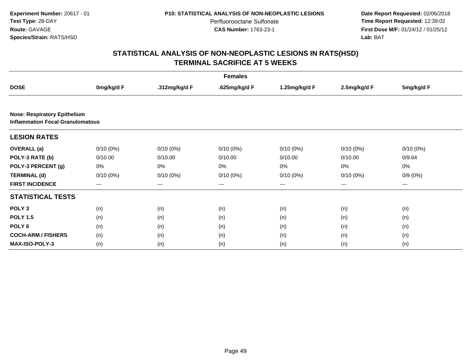**Date Report Requested:** 02/06/2018 **Time Report Requested:** 12:39:02 **First Dose M/F:** 01/24/12 / 01/25/12<br>**Lab:** BAT **Lab:** BAT

|                                                                                | <b>Females</b> |               |               |               |              |             |  |  |  |
|--------------------------------------------------------------------------------|----------------|---------------|---------------|---------------|--------------|-------------|--|--|--|
| <b>DOSE</b>                                                                    | 0mg/kg/d F     | .312mg/kg/d F | .625mg/kg/d F | 1.25mg/kg/d F | 2.5mg/kg/d F | 5mg/kg/d F  |  |  |  |
|                                                                                |                |               |               |               |              |             |  |  |  |
| <b>Nose: Respiratory Epithelium</b><br><b>Inflammation Focal Granulomatous</b> |                |               |               |               |              |             |  |  |  |
| <b>LESION RATES</b>                                                            |                |               |               |               |              |             |  |  |  |
| <b>OVERALL</b> (a)                                                             | $0/10(0\%)$    | $0/10(0\%)$   | $0/10(0\%)$   | $0/10(0\%)$   | $0/10(0\%)$  | $0/10(0\%)$ |  |  |  |
| POLY-3 RATE (b)                                                                | 0/10.00        | 0/10.00       | 0/10.00       | 0/10.00       | 0/10.00      | 0/9.64      |  |  |  |
| POLY-3 PERCENT (g)                                                             | 0%             | 0%            | 0%            | 0%            | 0%           | 0%          |  |  |  |
| <b>TERMINAL (d)</b>                                                            | $0/10(0\%)$    | $0/10(0\%)$   | $0/10(0\%)$   | $0/10(0\%)$   | $0/10(0\%)$  | $0/9(0\%)$  |  |  |  |
| <b>FIRST INCIDENCE</b>                                                         | $---$          | $---$         | $---$         | $---$         | ---          | ---         |  |  |  |
| <b>STATISTICAL TESTS</b>                                                       |                |               |               |               |              |             |  |  |  |
| POLY <sub>3</sub>                                                              | (n)            | (n)           | (n)           | (n)           | (n)          | (n)         |  |  |  |
| <b>POLY 1.5</b>                                                                | (n)            | (n)           | (n)           | (n)           | (n)          | (n)         |  |  |  |
| POLY <sub>6</sub>                                                              | (n)            | (n)           | (n)           | (n)           | (n)          | (n)         |  |  |  |
| <b>COCH-ARM / FISHERS</b>                                                      | (n)            | (n)           | (n)           | (n)           | (n)          | (n)         |  |  |  |
| <b>MAX-ISO-POLY-3</b>                                                          | (n)            | (n)           | (n)           | (n)           | (n)          | (n)         |  |  |  |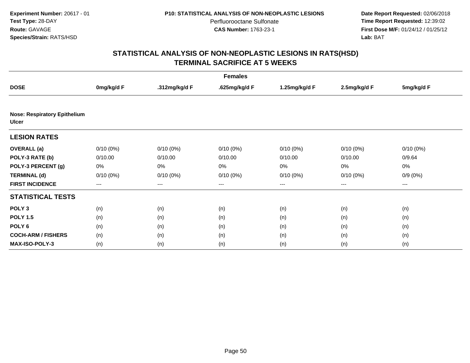**Date Report Requested:** 02/06/2018 **Time Report Requested:** 12:39:02 **First Dose M/F:** 01/24/12 / 01/25/12<br>**Lab:** BAT **Lab:** BAT

| <b>Females</b>                                      |             |               |               |               |              |             |
|-----------------------------------------------------|-------------|---------------|---------------|---------------|--------------|-------------|
| <b>DOSE</b>                                         | 0mg/kg/d F  | .312mg/kg/d F | .625mg/kg/d F | 1.25mg/kg/d F | 2.5mg/kg/d F | 5mg/kg/d F  |
|                                                     |             |               |               |               |              |             |
| <b>Nose: Respiratory Epithelium</b><br><b>Ulcer</b> |             |               |               |               |              |             |
| <b>LESION RATES</b>                                 |             |               |               |               |              |             |
| <b>OVERALL</b> (a)                                  | $0/10(0\%)$ | $0/10(0\%)$   | $0/10(0\%)$   | $0/10(0\%)$   | $0/10(0\%)$  | $0/10(0\%)$ |
| POLY-3 RATE (b)                                     | 0/10.00     | 0/10.00       | 0/10.00       | 0/10.00       | 0/10.00      | 0/9.64      |
| POLY-3 PERCENT (g)                                  | 0%          | 0%            | 0%            | 0%            | $0\%$        | 0%          |
| <b>TERMINAL (d)</b>                                 | $0/10(0\%)$ | $0/10(0\%)$   | $0/10(0\%)$   | $0/10(0\%)$   | $0/10(0\%)$  | $0/9(0\%)$  |
| <b>FIRST INCIDENCE</b>                              | $---$       | ---           | ---           | $\cdots$      | $\cdots$     | $---$       |
| <b>STATISTICAL TESTS</b>                            |             |               |               |               |              |             |
| POLY <sub>3</sub>                                   | (n)         | (n)           | (n)           | (n)           | (n)          | (n)         |
| <b>POLY 1.5</b>                                     | (n)         | (n)           | (n)           | (n)           | (n)          | (n)         |
| POLY <sub>6</sub>                                   | (n)         | (n)           | (n)           | (n)           | (n)          | (n)         |
| <b>COCH-ARM / FISHERS</b>                           | (n)         | (n)           | (n)           | (n)           | (n)          | (n)         |
| <b>MAX-ISO-POLY-3</b>                               | (n)         | (n)           | (n)           | (n)           | (n)          | (n)         |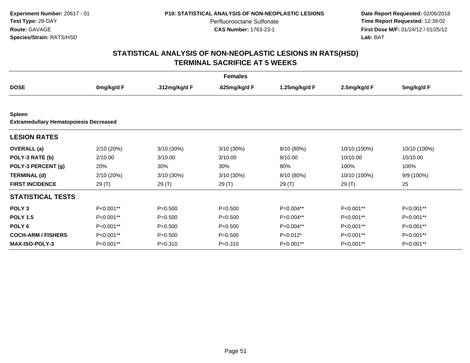**Date Report Requested:** 02/06/2018 **Time Report Requested:** 12:39:02 **First Dose M/F:** 01/24/12 / 01/25/12<br>**Lab:** BAT **Lab:** BAT

| <b>Females</b>                                                 |            |               |               |               |              |              |
|----------------------------------------------------------------|------------|---------------|---------------|---------------|--------------|--------------|
| <b>DOSE</b>                                                    | 0mg/kg/d F | .312mg/kg/d F | .625mg/kg/d F | 1.25mg/kg/d F | 2.5mg/kg/d F | 5mg/kg/d F   |
|                                                                |            |               |               |               |              |              |
| <b>Spleen</b><br><b>Extramedullary Hematopoiesis Decreased</b> |            |               |               |               |              |              |
| <b>LESION RATES</b>                                            |            |               |               |               |              |              |
| <b>OVERALL</b> (a)                                             | 2/10 (20%) | 3/10 (30%)    | $3/10(30\%)$  | 8/10 (80%)    | 10/10 (100%) | 10/10 (100%) |
| POLY-3 RATE (b)                                                | 2/10.00    | 3/10.00       | 3/10.00       | 8/10.00       | 10/10.00     | 10/10.00     |
| POLY-3 PERCENT (g)                                             | 20%        | 30%           | 30%           | 80%           | 100%         | 100%         |
| <b>TERMINAL (d)</b>                                            | 2/10 (20%) | 3/10 (30%)    | 3/10 (30%)    | 8/10 (80%)    | 10/10 (100%) | 9/9 (100%)   |
| <b>FIRST INCIDENCE</b>                                         | 29(T)      | 29 (T)        | 29 (T)        | 29 (T)        | 29 (T)       | 25           |
| <b>STATISTICAL TESTS</b>                                       |            |               |               |               |              |              |
| POLY <sub>3</sub>                                              | P<0.001**  | $P = 0.500$   | $P = 0.500$   | P=0.004**     | P<0.001**    | P<0.001**    |
| <b>POLY 1.5</b>                                                | P<0.001**  | $P = 0.500$   | $P = 0.500$   | P=0.004**     | P<0.001**    | P<0.001**    |
| POLY <sub>6</sub>                                              | P<0.001**  | $P = 0.500$   | $P = 0.500$   | P=0.004**     | P<0.001**    | P<0.001**    |
| <b>COCH-ARM / FISHERS</b>                                      | P<0.001**  | $P = 0.500$   | $P = 0.500$   | $P=0.012*$    | P<0.001**    | P<0.001**    |
| <b>MAX-ISO-POLY-3</b>                                          | P<0.001**  | $P = 0.310$   | $P = 0.310$   | P<0.001**     | P<0.001**    | P<0.001**    |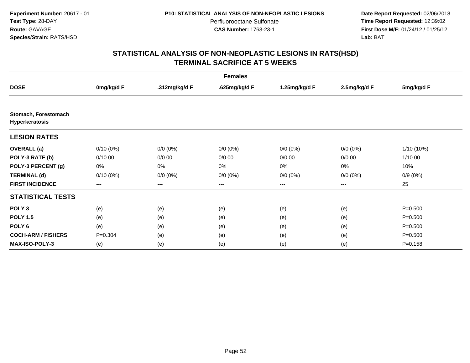**Date Report Requested:** 02/06/2018 **Time Report Requested:** 12:39:02 **First Dose M/F:** 01/24/12 / 01/25/12<br>**Lab:** BAT **Lab:** BAT

| <b>Females</b>                         |             |                   |               |                        |                        |              |
|----------------------------------------|-------------|-------------------|---------------|------------------------|------------------------|--------------|
| <b>DOSE</b>                            | 0mg/kg/d F  | .312mg/kg/d F     | .625mg/kg/d F | 1.25mg/kg/d F          | 2.5mg/kg/d F           | 5mg/kg/d F   |
|                                        |             |                   |               |                        |                        |              |
| Stomach, Forestomach<br>Hyperkeratosis |             |                   |               |                        |                        |              |
| <b>LESION RATES</b>                    |             |                   |               |                        |                        |              |
| <b>OVERALL</b> (a)                     | $0/10(0\%)$ | $0/0 (0\%)$       | $0/0 (0\%)$   | $0/0 (0\%)$            | $0/0 (0\%)$            | $1/10(10\%)$ |
| POLY-3 RATE (b)                        | 0/10.00     | 0/0.00            | 0/0.00        | 0/0.00                 | 0/0.00                 | 1/10.00      |
| POLY-3 PERCENT (g)                     | 0%          | 0%                | 0%            | 0%                     | 0%                     | 10%          |
| <b>TERMINAL (d)</b>                    | $0/10(0\%)$ | $0/0 (0\%)$       | $0/0 (0\%)$   | $0/0 (0\%)$            | $0/0 (0\%)$            | $0/9(0\%)$   |
| <b>FIRST INCIDENCE</b>                 | $---$       | $\qquad \qquad -$ | ---           | $\qquad \qquad \cdots$ | $\qquad \qquad \cdots$ | 25           |
| <b>STATISTICAL TESTS</b>               |             |                   |               |                        |                        |              |
| POLY <sub>3</sub>                      | (e)         | (e)               | (e)           | (e)                    | (e)                    | $P = 0.500$  |
| <b>POLY 1.5</b>                        | (e)         | (e)               | (e)           | (e)                    | (e)                    | $P = 0.500$  |
| POLY <sub>6</sub>                      | (e)         | (e)               | (e)           | (e)                    | (e)                    | $P = 0.500$  |
| <b>COCH-ARM / FISHERS</b>              | $P = 0.304$ | (e)               | (e)           | (e)                    | (e)                    | $P = 0.500$  |
| <b>MAX-ISO-POLY-3</b>                  | (e)         | (e)               | (e)           | (e)                    | (e)                    | $P = 0.158$  |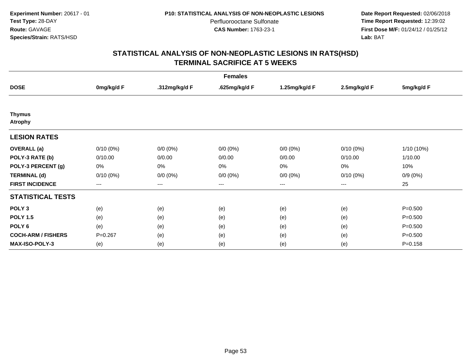**Date Report Requested:** 02/06/2018 **Time Report Requested:** 12:39:02 **First Dose M/F:** 01/24/12 / 01/25/12<br>**Lab:** BAT **Lab:** BAT

| <b>Females</b>                  |             |               |               |               |              |             |
|---------------------------------|-------------|---------------|---------------|---------------|--------------|-------------|
| <b>DOSE</b>                     | 0mg/kg/d F  | .312mg/kg/d F | .625mg/kg/d F | 1.25mg/kg/d F | 2.5mg/kg/d F | 5mg/kg/d F  |
|                                 |             |               |               |               |              |             |
| <b>Thymus</b><br><b>Atrophy</b> |             |               |               |               |              |             |
| <b>LESION RATES</b>             |             |               |               |               |              |             |
| <b>OVERALL</b> (a)              | $0/10(0\%)$ | $0/0 (0\%)$   | $0/0 (0\%)$   | $0/0 (0\%)$   | $0/10(0\%)$  | 1/10 (10%)  |
| POLY-3 RATE (b)                 | 0/10.00     | 0/0.00        | 0/0.00        | 0/0.00        | 0/10.00      | 1/10.00     |
| POLY-3 PERCENT (g)              | 0%          | 0%            | 0%            | 0%            | 0%           | 10%         |
| <b>TERMINAL (d)</b>             | $0/10(0\%)$ | $0/0 (0\%)$   | $0/0 (0\%)$   | $0/0 (0\%)$   | $0/10(0\%)$  | $0/9(0\%)$  |
| <b>FIRST INCIDENCE</b>          | ---         | $--$          | ---           | $--$          | ---          | 25          |
| <b>STATISTICAL TESTS</b>        |             |               |               |               |              |             |
| POLY <sub>3</sub>               | (e)         | (e)           | (e)           | (e)           | (e)          | $P = 0.500$ |
| <b>POLY 1.5</b>                 | (e)         | (e)           | (e)           | (e)           | (e)          | $P = 0.500$ |
| POLY 6                          | (e)         | (e)           | (e)           | (e)           | (e)          | $P = 0.500$ |
| <b>COCH-ARM / FISHERS</b>       | $P = 0.267$ | (e)           | (e)           | (e)           | (e)          | $P = 0.500$ |
| <b>MAX-ISO-POLY-3</b>           | (e)         | (e)           | (e)           | (e)           | (e)          | $P = 0.158$ |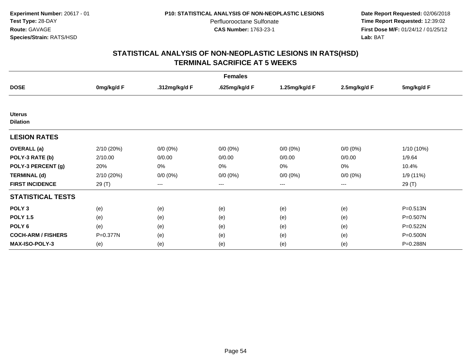**Date Report Requested:** 02/06/2018 **Time Report Requested:** 12:39:02 **First Dose M/F:** 01/24/12 / 01/25/12<br>**Lab:** BAT **Lab:** BAT

| <b>Females</b>                   |            |               |               |                   |              |              |
|----------------------------------|------------|---------------|---------------|-------------------|--------------|--------------|
| <b>DOSE</b>                      | 0mg/kg/d F | .312mg/kg/d F | .625mg/kg/d F | 1.25mg/kg/d F     | 2.5mg/kg/d F | 5mg/kg/d F   |
|                                  |            |               |               |                   |              |              |
| <b>Uterus</b><br><b>Dilation</b> |            |               |               |                   |              |              |
| <b>LESION RATES</b>              |            |               |               |                   |              |              |
| <b>OVERALL</b> (a)               | 2/10 (20%) | $0/0 (0\%)$   | $0/0 (0\%)$   | $0/0 (0\%)$       | $0/0 (0\%)$  | 1/10 (10%)   |
| POLY-3 RATE (b)                  | 2/10.00    | 0/0.00        | 0/0.00        | 0/0.00            | 0/0.00       | 1/9.64       |
| POLY-3 PERCENT (g)               | 20%        | 0%            | 0%            | 0%                | 0%           | 10.4%        |
| <b>TERMINAL (d)</b>              | 2/10 (20%) | $0/0 (0\%)$   | $0/0 (0\%)$   | $0/0 (0\%)$       | $0/0 (0\%)$  | 1/9 (11%)    |
| <b>FIRST INCIDENCE</b>           | 29 (T)     | $---$         | $---$         | $\qquad \qquad -$ | $---$        | 29 (T)       |
| <b>STATISTICAL TESTS</b>         |            |               |               |                   |              |              |
| POLY <sub>3</sub>                | (e)        | (e)           | (e)           | (e)               | (e)          | $P = 0.513N$ |
| <b>POLY 1.5</b>                  | (e)        | (e)           | (e)           | (e)               | (e)          | P=0.507N     |
| POLY <sub>6</sub>                | (e)        | (e)           | (e)           | (e)               | (e)          | P=0.522N     |
| <b>COCH-ARM / FISHERS</b>        | P=0.377N   | (e)           | (e)           | (e)               | (e)          | P=0.500N     |
| <b>MAX-ISO-POLY-3</b>            | (e)        | (e)           | (e)           | (e)               | (e)          | P=0.288N     |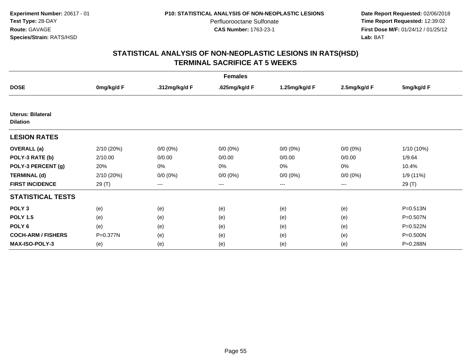**Date Report Requested:** 02/06/2018 **Time Report Requested:** 12:39:02 **First Dose M/F:** 01/24/12 / 01/25/12<br>**Lab:** BAT **Lab:** BAT

| <b>Females</b>                              |            |               |                   |               |                        |            |
|---------------------------------------------|------------|---------------|-------------------|---------------|------------------------|------------|
| <b>DOSE</b>                                 | 0mg/kg/d F | .312mg/kg/d F | .625mg/kg/d F     | 1.25mg/kg/d F | 2.5mg/kg/d F           | 5mg/kg/d F |
|                                             |            |               |                   |               |                        |            |
| <b>Uterus: Bilateral</b><br><b>Dilation</b> |            |               |                   |               |                        |            |
| <b>LESION RATES</b>                         |            |               |                   |               |                        |            |
| <b>OVERALL</b> (a)                          | 2/10 (20%) | $0/0(0\%)$    | $0/0 (0\%)$       | $0/0 (0\%)$   | $0/0 (0\%)$            | 1/10 (10%) |
| POLY-3 RATE (b)                             | 2/10.00    | 0/0.00        | 0/0.00            | 0/0.00        | 0/0.00                 | 1/9.64     |
| POLY-3 PERCENT (g)                          | 20%        | 0%            | 0%                | 0%            | 0%                     | 10.4%      |
| <b>TERMINAL (d)</b>                         | 2/10 (20%) | $0/0 (0\%)$   | $0/0 (0\%)$       | $0/0 (0\%)$   | $0/0 (0\%)$            | 1/9 (11%)  |
| <b>FIRST INCIDENCE</b>                      | 29 (T)     | $---$         | $\qquad \qquad -$ | ---           | $\qquad \qquad \cdots$ | 29 (T)     |
| <b>STATISTICAL TESTS</b>                    |            |               |                   |               |                        |            |
| POLY <sub>3</sub>                           | (e)        | (e)           | (e)               | (e)           | (e)                    | P=0.513N   |
| <b>POLY 1.5</b>                             | (e)        | (e)           | (e)               | (e)           | (e)                    | P=0.507N   |
| POLY <sub>6</sub>                           | (e)        | (e)           | (e)               | (e)           | (e)                    | P=0.522N   |
| <b>COCH-ARM / FISHERS</b>                   | P=0.377N   | (e)           | (e)               | (e)           | (e)                    | P=0.500N   |
| <b>MAX-ISO-POLY-3</b>                       | (e)        | (e)           | (e)               | (e)           | (e)                    | P=0.288N   |